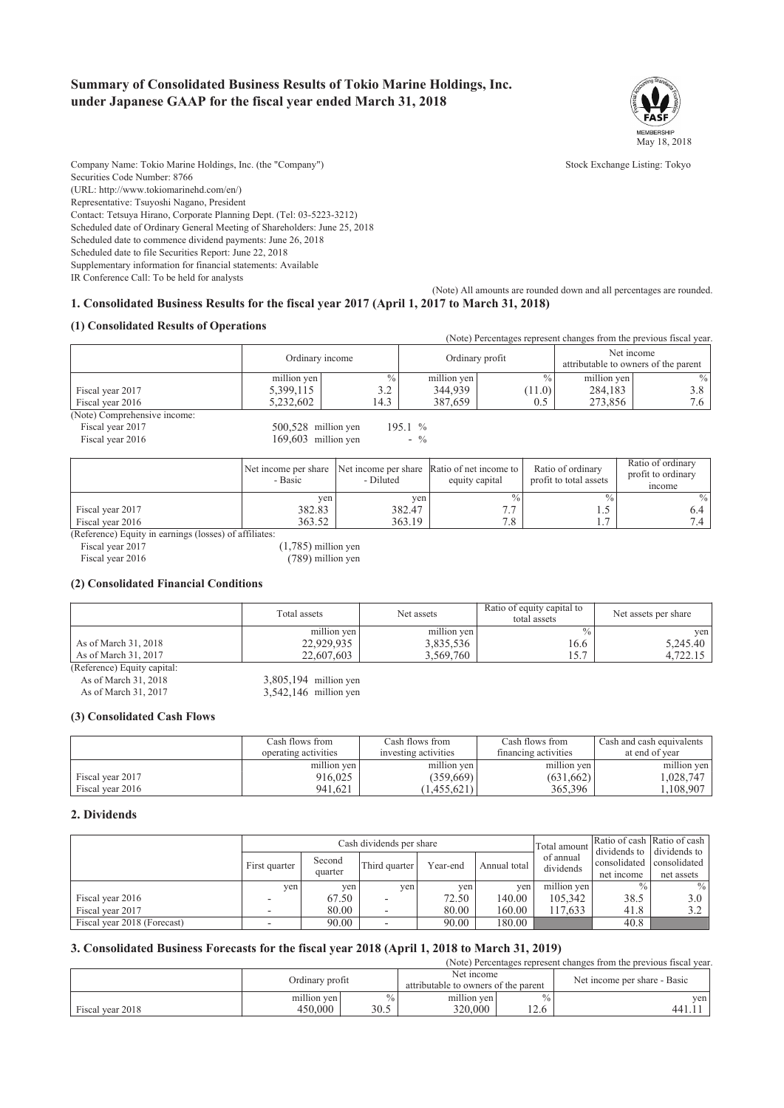# **Summary of Consolidated Business Results of Tokio Marine Holdings, Inc. under Japanese GAAP for the fiscal year ended March 31, 2018**



Company Name: Tokio Marine Holdings, Inc. (the "Company") Stock Exchange Listing: Tokyo

Contact: Tetsuya Hirano, Corporate Planning Dept. (Tel: 03-5223-3212) Scheduled date of Ordinary General Meeting of Shareholders: June 25, 2018

Scheduled date to commence dividend payments: June 26, 2018

Scheduled date to file Securities Report: June 22, 2018

Supplementary information for financial statements: Available

IR Conference Call: To be held for analysts

(URL: http://www.tokiomarinehd.com/en/) Representative: Tsuyoshi Nagano, President

Securities Code Number: 8766

(Note) All amounts are rounded down and all percentages are rounded.

## **1. Consolidated Business Results for the fiscal year 2017 (April 1, 2017 to March 31, 2018)**

### **(1) Consolidated Results of Operations**

|                              |                       |               |                 |        |                                                    | (Note) Percentages represent changes from the previous fiscal year. |
|------------------------------|-----------------------|---------------|-----------------|--------|----------------------------------------------------|---------------------------------------------------------------------|
|                              | Ordinary income       |               | Ordinary profit |        | Net income<br>attributable to owners of the parent |                                                                     |
|                              | million yen           | $\frac{0}{0}$ | million yen     | $\%$   | million yen                                        | $\frac{0}{0}$                                                       |
| Fiscal year 2017             | 5,399,115             | 3.2           | 344,939         | (11.0) | 284,183                                            | 3.8                                                                 |
| Fiscal year 2016             | 5,232,602             | 14.3          | 387,659         | 0.5    | 273,856                                            | 7.6                                                                 |
| (Note) Comprehensive income: |                       |               |                 |        |                                                    |                                                                     |
| Fiscal year 2017             | 500,528 million yen   |               | 195.1 %         |        |                                                    |                                                                     |
| Fiscal year 2016             | $169.603$ million yen |               | $-$ %           |        |                                                    |                                                                     |
|                              |                       |               |                 |        |                                                    |                                                                     |

|                                                                                 | Net income per share<br>- Basic | - Diluted | Net income per share Ratio of net income to<br>equity capital | Ratio of ordinary<br>profit to total assets | Ratio of ordinary<br>profit to ordinary<br>income |
|---------------------------------------------------------------------------------|---------------------------------|-----------|---------------------------------------------------------------|---------------------------------------------|---------------------------------------------------|
|                                                                                 | ven                             | yen.      | $\%$                                                          | $\%$                                        | $\frac{0}{0}$                                     |
| Fiscal year 2017                                                                | 382.83                          | 382.47    |                                                               | ر. 1                                        |                                                   |
| Fiscal year 2016                                                                | 363.52                          | 363.19    |                                                               |                                             |                                                   |
| $(1, 0, 0, \ldots, 1)$ $\Gamma$ and $(1, 0, \ldots, 1)$ and $(1, 0, \ldots, 1)$ |                                 |           |                                                               |                                             |                                                   |

(Reference) Equity in earnings (losses) of affiliates: Fiscal year 2017 (1,785) million yen

Fiscal year 2016 (789) million yen

#### **(2) Consolidated Financial Conditions**

|                             | Total assets | Net assets  | Ratio of equity capital to<br>total assets | Net assets per share |
|-----------------------------|--------------|-------------|--------------------------------------------|----------------------|
|                             | million yen  | million yen | $\frac{0}{0}$                              | ven                  |
| As of March 31, 2018        | 22,929,935   | 3,835,536   | 16.6                                       | 5.245.40             |
| As of March 31, 2017        | 22.607.603   | 3.569.760   | 15.7                                       | 4,722.15             |
| (Reference) Equity capital: |              |             |                                            |                      |

| As of March 31, 2018 | 3,805,194 million yen   |  |
|----------------------|-------------------------|--|
| As of March 31, 2017 | $3,542,146$ million yen |  |

#### **(3) Consolidated Cash Flows**

|                  | Cash flows from      | Cash flows from      | Cash flows from      | Cash and cash equivalents |  |
|------------------|----------------------|----------------------|----------------------|---------------------------|--|
|                  | operating activities | investing activities | financing activities | at end of year            |  |
|                  | million yen          | million yen          | million yen          | million yen               |  |
| Fiscal year 2017 | 916.025              | (359.669)            | (631, 662)           | .028.747                  |  |
| Fiscal year 2016 | 941,621              | 1,455,621            | 365,396              | .108,907                  |  |

#### **2. Dividends**

|                             | Cash dividends per share |         |               |          |              | Total amount           |                                | Ratio of cash Ratio of cash    |
|-----------------------------|--------------------------|---------|---------------|----------|--------------|------------------------|--------------------------------|--------------------------------|
|                             | First quarter            | Second  | Third quarter | Year-end | Annual total | of annual<br>dividends | dividends to 1<br>consolidated | dividends to 1<br>consolidated |
|                             |                          | quarter |               |          |              |                        | net income                     | net assets                     |
|                             | ven l                    | ven     | yen           | ven      | ven          | million yen            |                                | $\frac{0}{0}$                  |
| Fiscal year 2016            |                          | 67.50   | -             | 72.50    | 140.00       | 105.342                | 38.5                           | 3.0 <sub>1</sub>               |
| Fiscal year 2017            |                          | 80.00   | -             | 80.00    | 160.00       | 117.633                | 41.8                           | 3.2                            |
| Fiscal year 2018 (Forecast) |                          | 90.00   |               | 90.00    | 180.00       |                        | 40.8                           |                                |

## **3. Consolidated Business Forecasts for the fiscal year 2018 (April 1, 2018 to March 31, 2019)**

|                  |                        |             |                                                    |                         | (Note) Percentages represent changes from the previous fiscal year. |
|------------------|------------------------|-------------|----------------------------------------------------|-------------------------|---------------------------------------------------------------------|
|                  | Ordinary profit        |             | Net income<br>attributable to owners of the parent |                         | Net income per share - Basic                                        |
| Fiscal year 2018 | million yen<br>450,000 | 0/2<br>30.5 | million yen<br>320.000                             | $^{0/6}$ .<br>$\bigcap$ | yen  <br>441.1                                                      |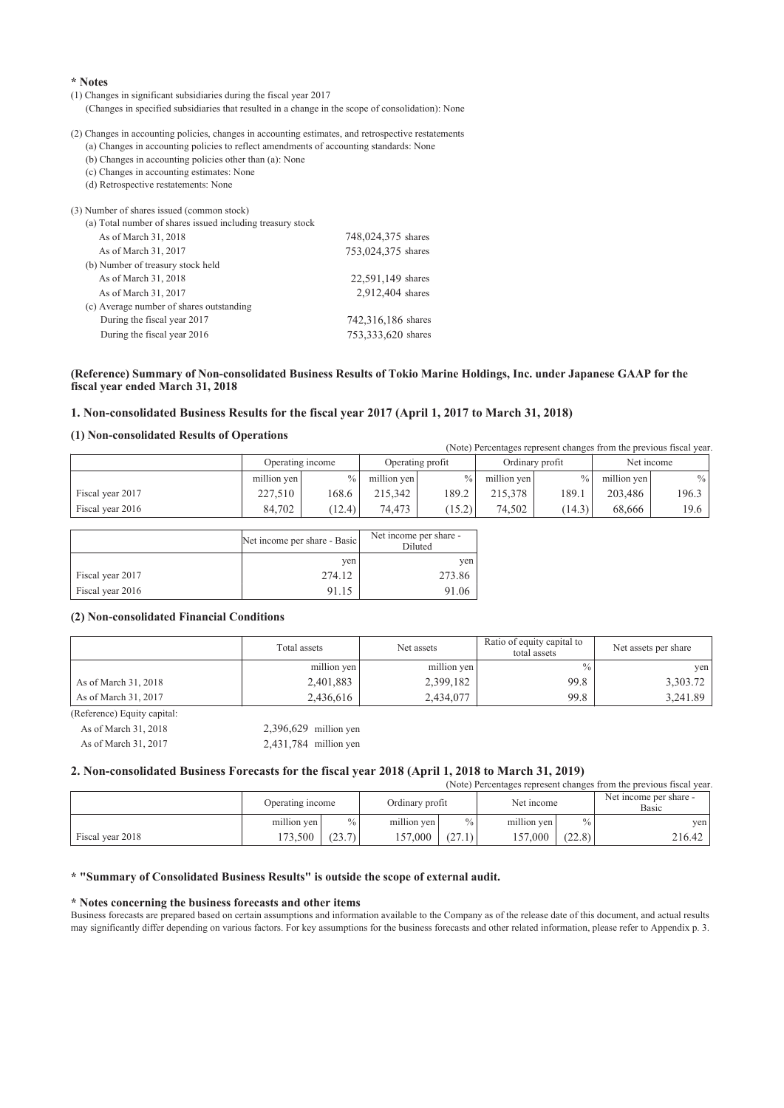#### **\* Notes**

(1) Changes in significant subsidiaries during the fiscal year 2017

(Changes in specified subsidiaries that resulted in a change in the scope of consolidation): None

(2) Changes in accounting policies, changes in accounting estimates, and retrospective restatements

(a) Changes in accounting policies to reflect amendments of accounting standards: None (b) Changes in accounting policies other than (a): None

(c) Changes in accounting estimates: None

(d) Retrospective restatements: None

| (3) Number of shares issued (common stock)                 |                    |
|------------------------------------------------------------|--------------------|
| (a) Total number of shares issued including treasury stock |                    |
| As of March 31, 2018                                       | 748,024,375 shares |
| As of March 31, 2017                                       | 753,024,375 shares |
| (b) Number of treasury stock held                          |                    |
| As of March 31, 2018                                       | 22,591,149 shares  |
| As of March 31, 2017                                       | 2,912,404 shares   |
| (c) Average number of shares outstanding                   |                    |
| During the fiscal year 2017                                | 742,316,186 shares |
| During the fiscal year 2016                                | 753,333,620 shares |
|                                                            |                    |

#### **(Reference) Summary of Non-consolidated Business Results of Tokio Marine Holdings, Inc. under Japanese GAAP for the fiscal year ended March 31, 2018**

#### **1. Non-consolidated Business Results for the fiscal year 2017 (April 1, 2017 to March 31, 2018)**

#### **(1) Non-consolidated Results of Operations**

(Note) Percentages represent changes from the previous fiscal year. Operating income Operating profit Ordinary profit Net income million yen  $\begin{array}{c|c} \hline \text{million yen} & \hline \\ \hline \end{array}$  million yen  $\begin{array}{c|c} \hline \text{million yen} & \hline \end{array}$  million yen  $\begin{array}{c|c} \hline \text{million yen} & \hline \end{array}$ Fiscal year 2017 227,510 168.6 215,342 189.2 215,378 189.1 203,486 196.3 Fiscal year 2016 84,702 (12.4) 74,473 (15.2) 74,502 (14.3) 68,666 19.6

|                  | Net income per share - Basic | Net income per share -<br>Diluted |
|------------------|------------------------------|-----------------------------------|
|                  | ven                          | ven                               |
| Fiscal year 2017 | 274.12                       | 273.86                            |
| Fiscal year 2016 | 91.15                        | 91.06                             |

#### **(2) Non-consolidated Financial Conditions**

|                            | Total assets | Ratio of equity capital to<br>Net assets |      | Net assets per share |  |
|----------------------------|--------------|------------------------------------------|------|----------------------|--|
|                            | million yen  | million yen                              | $\%$ | ven                  |  |
| As of March 31, 2018       | 2,401,883    | 2,399,182                                | 99.8 | 3,303.72             |  |
| As of March 31, 2017       | 2,436,616    | 2,434,077                                | 99.8 | 3,241.89             |  |
| (Reference) Fauity canital |              |                                          |      |                      |  |

| Reference) Equity Capital. |                         |
|----------------------------|-------------------------|
| As of March 31, 2018       | $2,396,629$ million yen |
| As of March 31, 2017       | $2,431,784$ million yen |

#### **2. Non-consolidated Business Forecasts for the fiscal year 2018 (April 1, 2018 to March 31, 2019)**

| (Note) Percentages represent changes from the previous fiscal year. |                  |               |                 |               |             |        |                                        |  |
|---------------------------------------------------------------------|------------------|---------------|-----------------|---------------|-------------|--------|----------------------------------------|--|
|                                                                     | Operating income |               | Ordinary profit |               | Net income  |        | Net income per share -<br><b>Basic</b> |  |
|                                                                     | million yen      | $\frac{0}{0}$ | million yen     | $\frac{0}{0}$ | million yen | $\%$   | ven                                    |  |
| Fiscal year 2018                                                    | 73.500           | (23.7)        | 157.000         |               | 157.000     | (22.8) | 216.42                                 |  |

#### **\* "Summary of Consolidated Business Results" is outside the scope of external audit.**

#### **\* Notes concerning the business forecasts and other items**

Business forecasts are prepared based on certain assumptions and information available to the Company as of the release date of this document, and actual results may significantly differ depending on various factors. For key assumptions for the business forecasts and other related information, please refer to Appendix p. 3.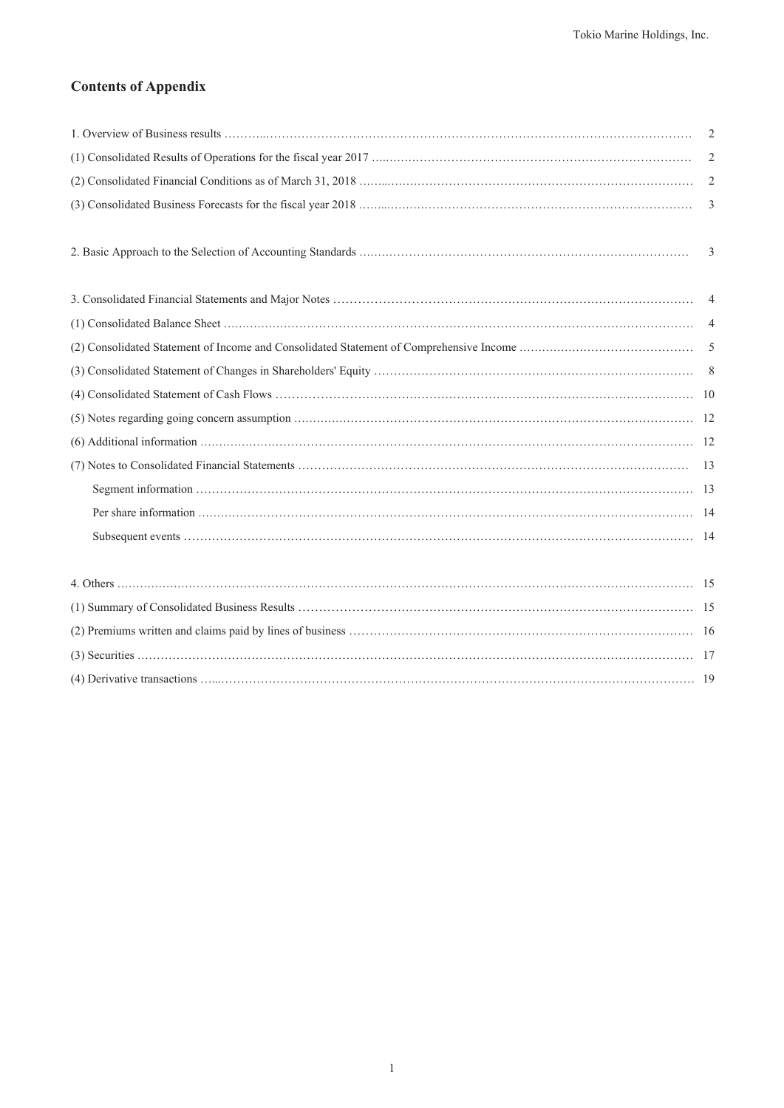# **Contents of Appendix**

| 2 |
|---|
| 2 |
| 2 |
|   |
|   |
| 3 |
|   |
|   |
|   |
|   |
|   |
|   |
|   |
|   |
|   |
|   |
|   |
|   |
|   |
|   |
|   |
|   |
|   |
|   |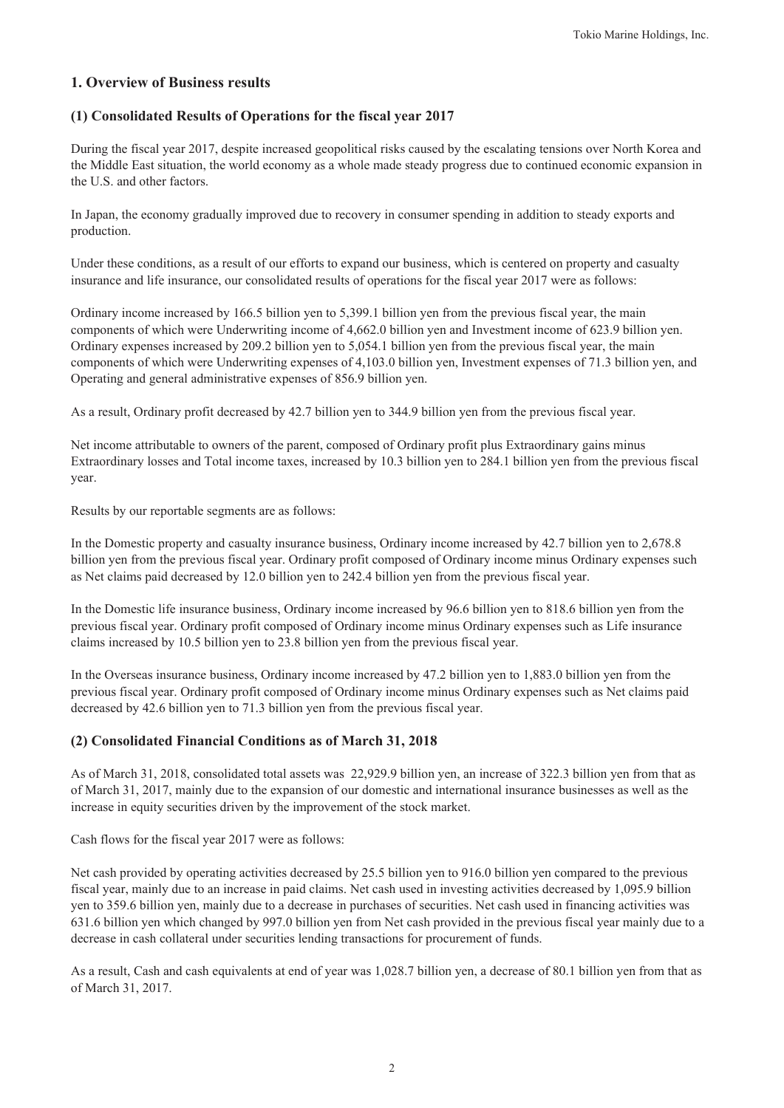# **1. Overview of Business results**

## **(1) Consolidated Results of Operations for the fiscal year 2017**

During the fiscal year 2017, despite increased geopolitical risks caused by the escalating tensions over North Korea and the Middle East situation, the world economy as a whole made steady progress due to continued economic expansion in the U.S. and other factors.

In Japan, the economy gradually improved due to recovery in consumer spending in addition to steady exports and production.

Under these conditions, as a result of our efforts to expand our business, which is centered on property and casualty insurance and life insurance, our consolidated results of operations for the fiscal year 2017 were as follows:

Ordinary income increased by 166.5 billion yen to 5,399.1 billion yen from the previous fiscal year, the main components of which were Underwriting income of 4,662.0 billion yen and Investment income of 623.9 billion yen. Ordinary expenses increased by 209.2 billion yen to 5,054.1 billion yen from the previous fiscal year, the main components of which were Underwriting expenses of 4,103.0 billion yen, Investment expenses of 71.3 billion yen, and Operating and general administrative expenses of 856.9 billion yen.

As a result, Ordinary profit decreased by 42.7 billion yen to 344.9 billion yen from the previous fiscal year.

Net income attributable to owners of the parent, composed of Ordinary profit plus Extraordinary gains minus Extraordinary losses and Total income taxes, increased by 10.3 billion yen to 284.1 billion yen from the previous fiscal year.

Results by our reportable segments are as follows:

In the Domestic property and casualty insurance business, Ordinary income increased by 42.7 billion yen to 2,678.8 billion yen from the previous fiscal year. Ordinary profit composed of Ordinary income minus Ordinary expenses such as Net claims paid decreased by 12.0 billion yen to 242.4 billion yen from the previous fiscal year.

In the Domestic life insurance business, Ordinary income increased by 96.6 billion yen to 818.6 billion yen from the previous fiscal year. Ordinary profit composed of Ordinary income minus Ordinary expenses such as Life insurance claims increased by 10.5 billion yen to 23.8 billion yen from the previous fiscal year.

In the Overseas insurance business, Ordinary income increased by 47.2 billion yen to 1,883.0 billion yen from the previous fiscal year. Ordinary profit composed of Ordinary income minus Ordinary expenses such as Net claims paid decreased by 42.6 billion yen to 71.3 billion yen from the previous fiscal year.

## **(2) Consolidated Financial Conditions as of March 31, 2018**

As of March 31, 2018, consolidated total assets was 22,929.9 billion yen, an increase of 322.3 billion yen from that as of March 31, 2017, mainly due to the expansion of our domestic and international insurance businesses as well as the increase in equity securities driven by the improvement of the stock market.

Cash flows for the fiscal year 2017 were as follows:

Net cash provided by operating activities decreased by 25.5 billion yen to 916.0 billion yen compared to the previous fiscal year, mainly due to an increase in paid claims. Net cash used in investing activities decreased by 1,095.9 billion yen to 359.6 billion yen, mainly due to a decrease in purchases of securities. Net cash used in financing activities was 631.6 billion yen which changed by 997.0 billion yen from Net cash provided in the previous fiscal year mainly due to a decrease in cash collateral under securities lending transactions for procurement of funds.

As a result, Cash and cash equivalents at end of year was 1,028.7 billion yen, a decrease of 80.1 billion yen from that as of March 31, 2017.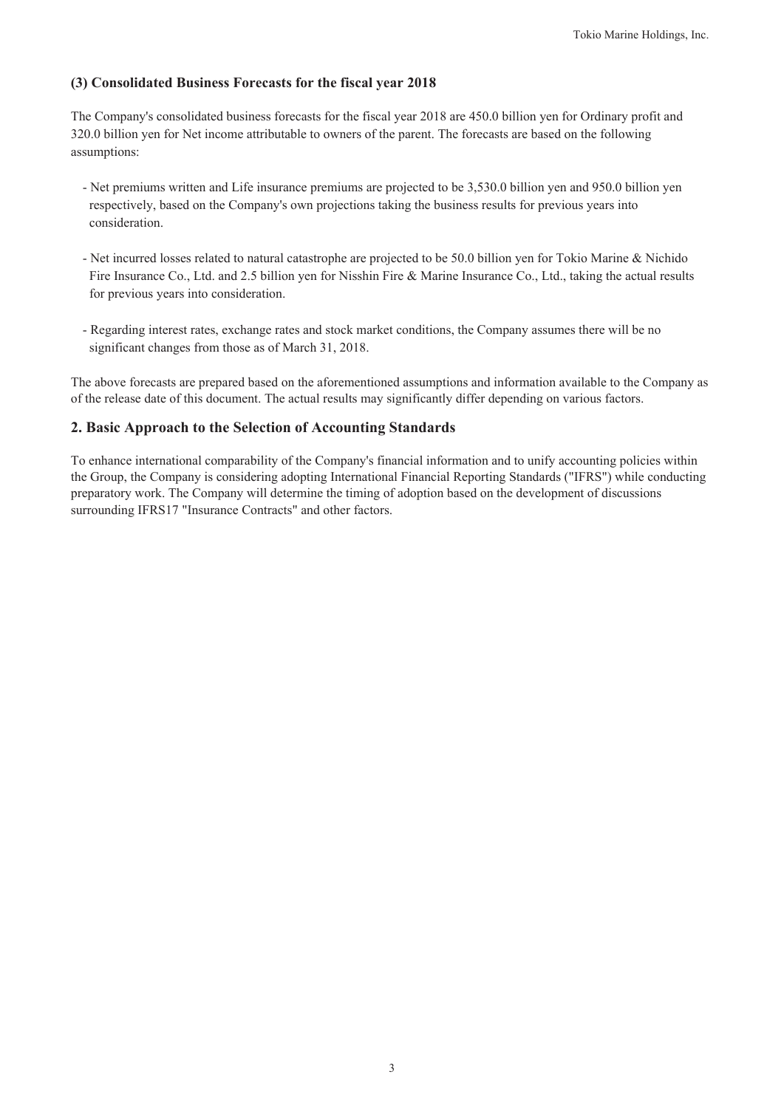## **(3) Consolidated Business Forecasts for the fiscal year 2018**

The Company's consolidated business forecasts for the fiscal year 2018 are 450.0 billion yen for Ordinary profit and 320.0 billion yen for Net income attributable to owners of the parent. The forecasts are based on the following assumptions:

- Net premiums written and Life insurance premiums are projected to be 3,530.0 billion yen and 950.0 billion yen respectively, based on the Company's own projections taking the business results for previous years into consideration.
- Net incurred losses related to natural catastrophe are projected to be 50.0 billion yen for Tokio Marine & Nichido Fire Insurance Co., Ltd. and 2.5 billion yen for Nisshin Fire & Marine Insurance Co., Ltd., taking the actual results for previous years into consideration.
- Regarding interest rates, exchange rates and stock market conditions, the Company assumes there will be no significant changes from those as of March 31, 2018.

The above forecasts are prepared based on the aforementioned assumptions and information available to the Company as of the release date of this document. The actual results may significantly differ depending on various factors.

# **2. Basic Approach to the Selection of Accounting Standards**

To enhance international comparability of the Company's financial information and to unify accounting policies within the Group, the Company is considering adopting International Financial Reporting Standards ("IFRS") while conducting preparatory work. The Company will determine the timing of adoption based on the development of discussions surrounding IFRS17 "Insurance Contracts" and other factors.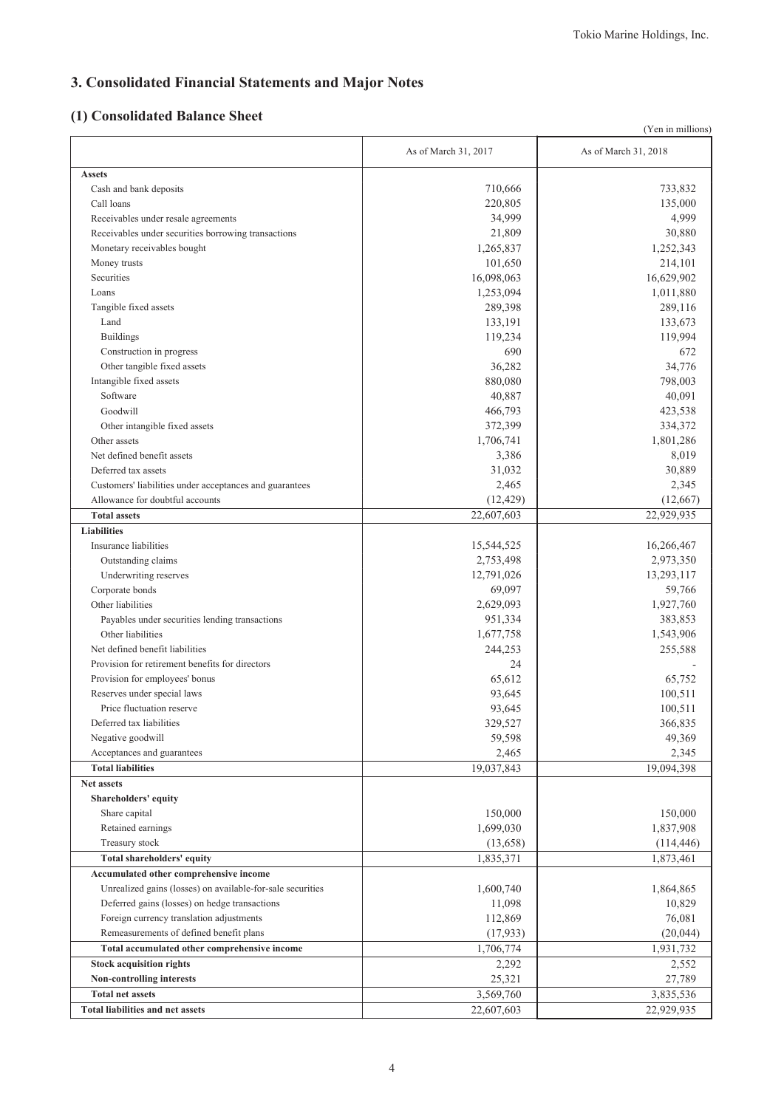# **3. Consolidated Financial Statements and Major Notes**

# **(1) Consolidated Balance Sheet**

|                                                                                            |                      | (Yen in millions)    |
|--------------------------------------------------------------------------------------------|----------------------|----------------------|
|                                                                                            | As of March 31, 2017 | As of March 31, 2018 |
| <b>Assets</b>                                                                              |                      |                      |
| Cash and bank deposits                                                                     | 710,666              | 733,832              |
| Call loans                                                                                 | 220,805              | 135,000              |
| Receivables under resale agreements                                                        | 34,999               | 4,999                |
| Receivables under securities borrowing transactions                                        | 21,809               | 30,880               |
| Monetary receivables bought                                                                | 1,265,837            | 1,252,343            |
| Money trusts                                                                               | 101,650              | 214,101              |
| Securities                                                                                 | 16,098,063           | 16,629,902           |
| Loans                                                                                      | 1,253,094            | 1,011,880            |
| Tangible fixed assets                                                                      | 289,398              | 289,116              |
| Land                                                                                       | 133,191              | 133,673              |
| <b>Buildings</b>                                                                           | 119,234              | 119,994              |
| Construction in progress                                                                   | 690                  | 672                  |
| Other tangible fixed assets                                                                | 36,282               | 34,776               |
| Intangible fixed assets                                                                    | 880,080              | 798,003              |
| Software                                                                                   | 40,887               | 40,091               |
| Goodwill                                                                                   | 466,793              | 423,538              |
| Other intangible fixed assets                                                              | 372,399              | 334,372              |
| Other assets                                                                               | 1,706,741            | 1,801,286            |
| Net defined benefit assets                                                                 | 3,386                | 8,019                |
| Deferred tax assets                                                                        | 31,032               | 30,889               |
|                                                                                            | 2,465                |                      |
| Customers' liabilities under acceptances and guarantees<br>Allowance for doubtful accounts |                      | 2,345                |
| <b>Total assets</b>                                                                        | (12, 429)            | (12,667)             |
| <b>Liabilities</b>                                                                         | 22,607,603           | 22,929,935           |
| Insurance liabilities                                                                      | 15,544,525           | 16,266,467           |
| Outstanding claims                                                                         | 2,753,498            | 2,973,350            |
| Underwriting reserves                                                                      | 12,791,026           | 13,293,117           |
| Corporate bonds                                                                            | 69,097               | 59,766               |
| Other liabilities                                                                          | 2,629,093            | 1,927,760            |
| Payables under securities lending transactions                                             | 951,334              | 383,853              |
| Other liabilities                                                                          | 1,677,758            | 1,543,906            |
| Net defined benefit liabilities                                                            | 244,253              | 255,588              |
| Provision for retirement benefits for directors                                            | 24                   |                      |
| Provision for employees' bonus                                                             | 65,612               | 65,752               |
| Reserves under special laws                                                                | 93,645               | 100,511              |
| Price fluctuation reserve                                                                  |                      | 100,511              |
| Deferred tax liabilities                                                                   | 93,645               | 366,835              |
| Negative goodwill                                                                          | 329,527<br>59,598    | 49,369               |
| Acceptances and guarantees                                                                 | 2,465                | 2,345                |
| <b>Total liabilities</b>                                                                   | 19,037,843           | 19,094,398           |
| <b>Net assets</b>                                                                          |                      |                      |
| Shareholders' equity                                                                       |                      |                      |
| Share capital                                                                              | 150,000              | 150,000              |
| Retained earnings                                                                          | 1,699,030            | 1,837,908            |
| Treasury stock                                                                             | (13,658)             | (114, 446)           |
| Total shareholders' equity                                                                 | 1,835,371            | 1,873,461            |
| Accumulated other comprehensive income                                                     |                      |                      |
| Unrealized gains (losses) on available-for-sale securities                                 | 1,600,740            | 1,864,865            |
| Deferred gains (losses) on hedge transactions                                              | 11,098               | 10,829               |
| Foreign currency translation adjustments                                                   | 112,869              | 76,081               |
| Remeasurements of defined benefit plans                                                    | (17, 933)            | (20, 044)            |
| Total accumulated other comprehensive income                                               | 1,706,774            | 1,931,732            |
| <b>Stock acquisition rights</b>                                                            | 2,292                | 2,552                |
| Non-controlling interests                                                                  | 25,321               | 27,789               |
| <b>Total net assets</b>                                                                    | 3,569,760            | 3,835,536            |
| <b>Total liabilities and net assets</b>                                                    | 22,607,603           | 22,929,935           |
|                                                                                            |                      |                      |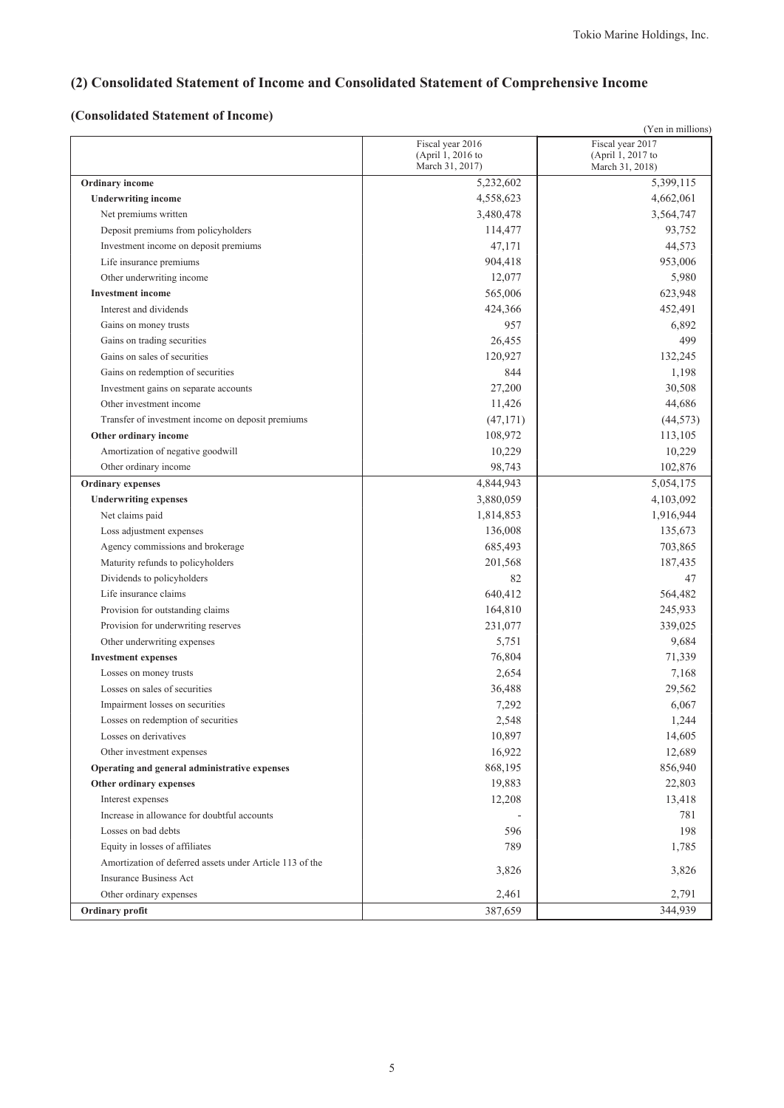# **(2) Consolidated Statement of Income and Consolidated Statement of Comprehensive Income**

# **(Consolidated Statement of Income)**

|                                                                                            |                                      | (Yen in millions)                    |
|--------------------------------------------------------------------------------------------|--------------------------------------|--------------------------------------|
|                                                                                            | Fiscal year 2016                     | Fiscal year 2017                     |
|                                                                                            | (April 1, 2016 to<br>March 31, 2017) | (April 1, 2017 to<br>March 31, 2018) |
| <b>Ordinary</b> income                                                                     | 5,232,602                            | 5,399,115                            |
| <b>Underwriting income</b>                                                                 | 4,558,623                            | 4,662,061                            |
| Net premiums written                                                                       | 3,480,478                            | 3,564,747                            |
|                                                                                            | 114,477                              | 93,752                               |
| Deposit premiums from policyholders                                                        | 47,171                               | 44,573                               |
| Investment income on deposit premiums                                                      | 904,418                              | 953,006                              |
| Life insurance premiums                                                                    |                                      |                                      |
| Other underwriting income                                                                  | 12,077                               | 5,980                                |
| <b>Investment</b> income                                                                   | 565,006                              | 623,948                              |
| Interest and dividends                                                                     | 424,366                              | 452,491                              |
| Gains on money trusts                                                                      | 957                                  | 6,892                                |
| Gains on trading securities                                                                | 26,455                               | 499                                  |
| Gains on sales of securities                                                               | 120,927                              | 132,245                              |
| Gains on redemption of securities                                                          | 844                                  | 1,198                                |
| Investment gains on separate accounts                                                      | 27,200                               | 30,508                               |
| Other investment income                                                                    | 11,426                               | 44,686                               |
| Transfer of investment income on deposit premiums                                          | (47, 171)                            | (44, 573)                            |
| Other ordinary income                                                                      | 108,972                              | 113,105                              |
| Amortization of negative goodwill                                                          | 10,229                               | 10,229                               |
| Other ordinary income                                                                      | 98,743                               | 102,876                              |
| <b>Ordinary</b> expenses                                                                   | 4,844,943                            | 5,054,175                            |
| <b>Underwriting expenses</b>                                                               | 3,880,059                            | 4,103,092                            |
| Net claims paid                                                                            | 1,814,853                            | 1,916,944                            |
| Loss adjustment expenses                                                                   | 136,008                              | 135,673                              |
| Agency commissions and brokerage                                                           | 685,493                              | 703,865                              |
| Maturity refunds to policyholders                                                          | 201,568                              | 187,435                              |
| Dividends to policyholders                                                                 | 82                                   | 47                                   |
| Life insurance claims                                                                      | 640,412                              | 564,482                              |
| Provision for outstanding claims                                                           | 164,810                              | 245,933                              |
| Provision for underwriting reserves                                                        | 231,077                              | 339,025                              |
| Other underwriting expenses                                                                | 5,751                                | 9,684                                |
| <b>Investment expenses</b>                                                                 | 76,804                               | 71,339                               |
| Losses on money trusts                                                                     | 2,654                                | 7,168                                |
| Losses on sales of securities                                                              | 36,488                               | 29,562                               |
| Impairment losses on securities                                                            | 7,292                                | 6,067                                |
| Losses on redemption of securities<br>Losses on derivatives                                | 2,548                                | 1,244                                |
|                                                                                            | 10,897                               | 14,605                               |
| Other investment expenses<br>Operating and general administrative expenses                 | 16,922<br>868,195                    | 12,689<br>856,940                    |
|                                                                                            |                                      |                                      |
| Other ordinary expenses                                                                    | 19,883                               | 22,803                               |
| Interest expenses<br>Increase in allowance for doubtful accounts                           | 12,208                               | 13,418<br>781                        |
| Losses on bad debts                                                                        | 596                                  | 198                                  |
|                                                                                            | 789                                  |                                      |
| Equity in losses of affiliates<br>Amortization of deferred assets under Article 113 of the |                                      | 1,785                                |
| <b>Insurance Business Act</b>                                                              | 3,826                                | 3,826                                |
| Other ordinary expenses                                                                    |                                      | 2,791                                |
|                                                                                            | 2,461                                |                                      |
| Ordinary profit                                                                            | 387,659                              | 344,939                              |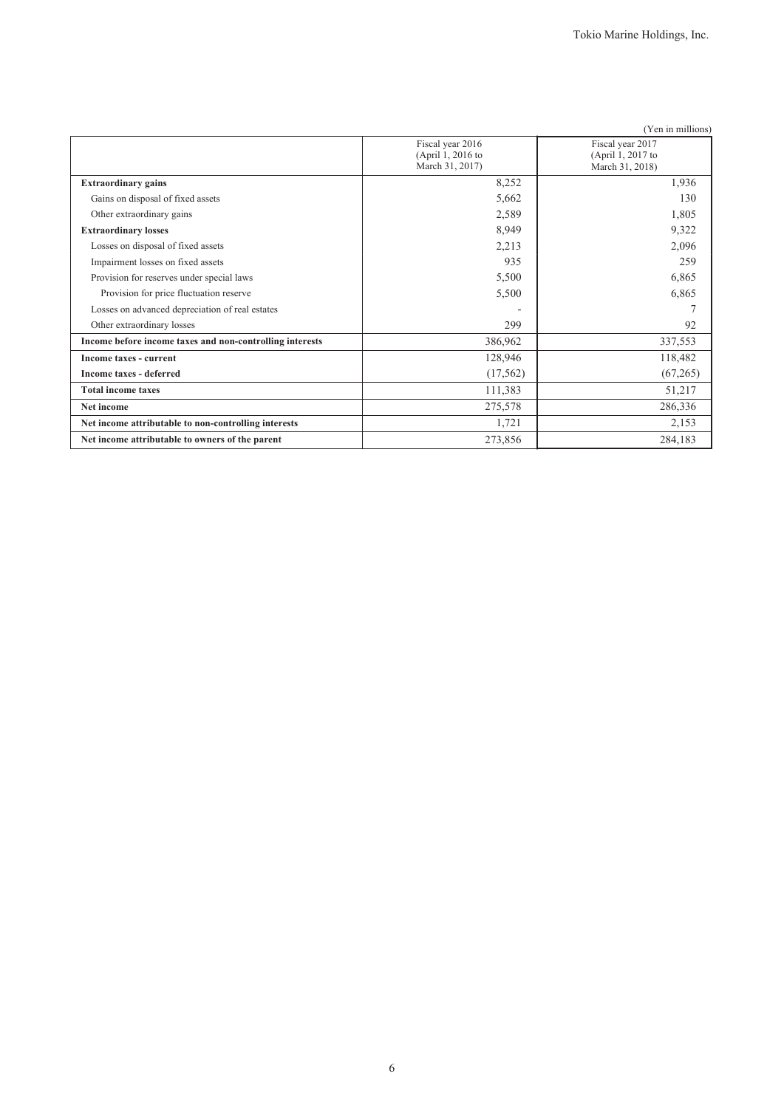|                                                          |                                                          | (Yen in millions)                                        |
|----------------------------------------------------------|----------------------------------------------------------|----------------------------------------------------------|
|                                                          | Fiscal year 2016<br>(April 1, 2016 to<br>March 31, 2017) | Fiscal year 2017<br>(April 1, 2017 to<br>March 31, 2018) |
| <b>Extraordinary gains</b>                               | 8,252                                                    | 1,936                                                    |
| Gains on disposal of fixed assets                        | 5,662                                                    | 130                                                      |
| Other extraordinary gains                                | 2,589                                                    | 1,805                                                    |
| <b>Extraordinary losses</b>                              | 8,949                                                    | 9,322                                                    |
| Losses on disposal of fixed assets                       | 2,213                                                    | 2,096                                                    |
| Impairment losses on fixed assets                        | 935                                                      | 259                                                      |
| Provision for reserves under special laws                | 5,500                                                    | 6,865                                                    |
| Provision for price fluctuation reserve                  | 5,500                                                    | 6,865                                                    |
| Losses on advanced depreciation of real estates          |                                                          | $\tau$                                                   |
| Other extraordinary losses                               | 299                                                      | 92                                                       |
| Income before income taxes and non-controlling interests | 386,962                                                  | 337,553                                                  |
| Income taxes - current                                   | 128,946                                                  | 118,482                                                  |
| <b>Income taxes - deferred</b>                           | (17, 562)                                                | (67, 265)                                                |
| <b>Total income taxes</b>                                | 111,383                                                  | 51,217                                                   |
| Net income                                               | 275,578                                                  | 286,336                                                  |
| Net income attributable to non-controlling interests     | 1,721                                                    | 2,153                                                    |
| Net income attributable to owners of the parent          | 273,856                                                  | 284,183                                                  |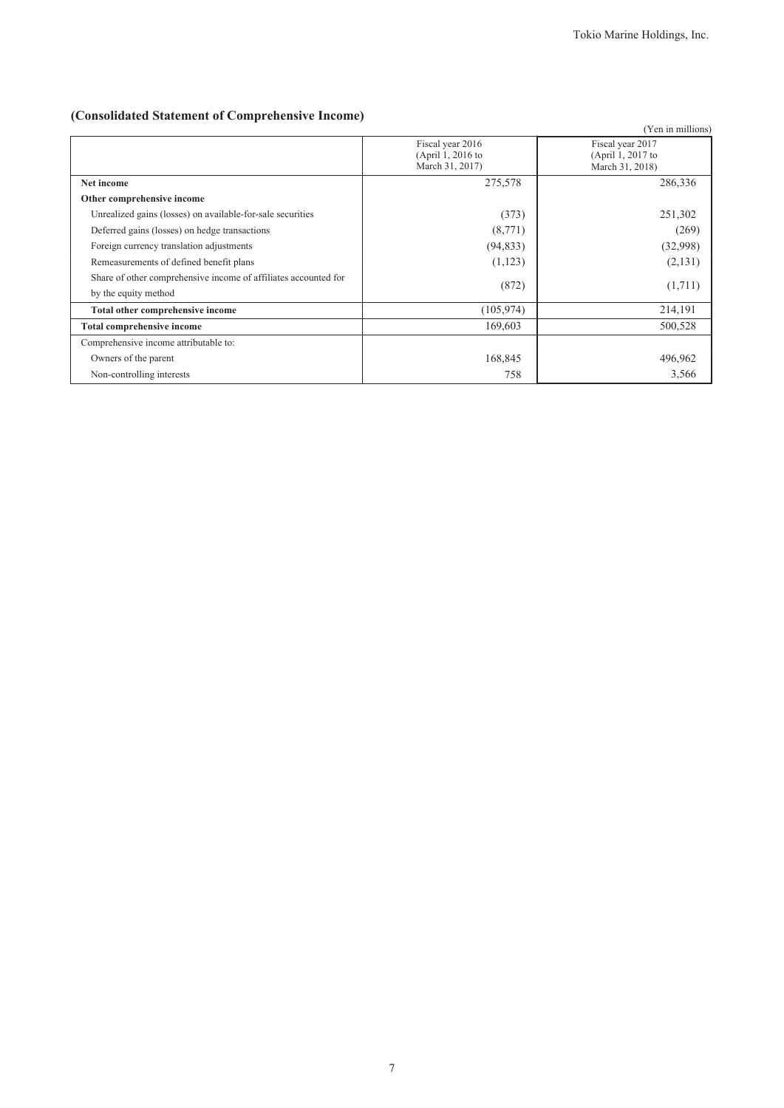# **(Consolidated Statement of Comprehensive Income)**

|                                                                 |                                                          | (Yen in millions)                                        |
|-----------------------------------------------------------------|----------------------------------------------------------|----------------------------------------------------------|
|                                                                 | Fiscal year 2016<br>(April 1, 2016 to<br>March 31, 2017) | Fiscal year 2017<br>(April 1, 2017 to<br>March 31, 2018) |
| Net income                                                      | 275,578                                                  | 286,336                                                  |
| Other comprehensive income                                      |                                                          |                                                          |
| Unrealized gains (losses) on available-for-sale securities      | (373)                                                    | 251,302                                                  |
| Deferred gains (losses) on hedge transactions                   | (8,771)                                                  | (269)                                                    |
| Foreign currency translation adjustments                        | (94, 833)                                                | (32,998)                                                 |
| Remeasurements of defined benefit plans                         | (1,123)                                                  | (2, 131)                                                 |
| Share of other comprehensive income of affiliates accounted for | (872)                                                    | (1,711)                                                  |
| by the equity method                                            |                                                          |                                                          |
| Total other comprehensive income                                | (105, 974)                                               | 214,191                                                  |
| <b>Total comprehensive income</b>                               | 169,603                                                  | 500,528                                                  |
| Comprehensive income attributable to:                           |                                                          |                                                          |
| Owners of the parent                                            | 168,845                                                  | 496,962                                                  |
| Non-controlling interests                                       | 758                                                      | 3,566                                                    |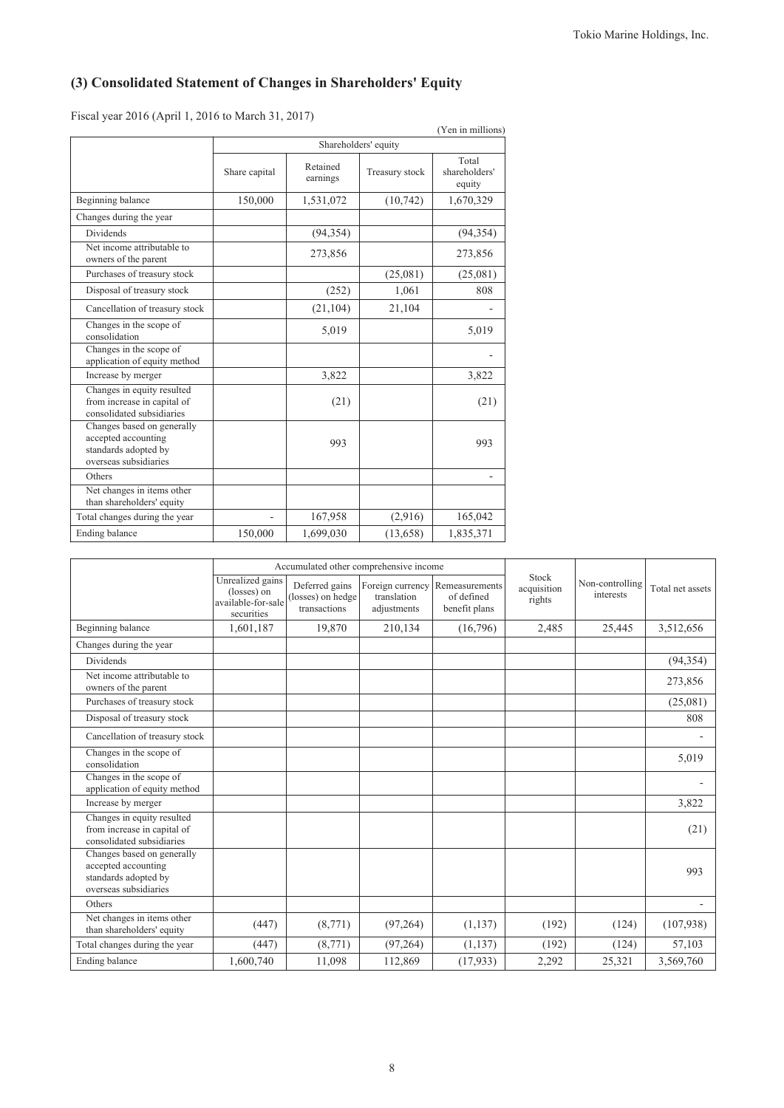# **(3) Consolidated Statement of Changes in Shareholders' Equity**

Fiscal year 2016 (April 1, 2016 to March 31, 2017)

| (Yen in millions)                                                                                  |               |                      |                |                                  |  |  |
|----------------------------------------------------------------------------------------------------|---------------|----------------------|----------------|----------------------------------|--|--|
|                                                                                                    |               | Shareholders' equity |                |                                  |  |  |
|                                                                                                    | Share capital | Retained<br>earnings | Treasury stock | Total<br>shareholders'<br>equity |  |  |
| Beginning balance                                                                                  | 150,000       | 1,531,072            | (10, 742)      | 1,670,329                        |  |  |
| Changes during the year                                                                            |               |                      |                |                                  |  |  |
| <b>Dividends</b>                                                                                   |               | (94, 354)            |                | (94, 354)                        |  |  |
| Net income attributable to<br>owners of the parent                                                 |               | 273,856              |                | 273,856                          |  |  |
| Purchases of treasury stock                                                                        |               |                      | (25,081)       | (25,081)                         |  |  |
| Disposal of treasury stock                                                                         |               | (252)                | 1,061          | 808                              |  |  |
| Cancellation of treasury stock                                                                     |               | (21, 104)            | 21,104         |                                  |  |  |
| Changes in the scope of<br>consolidation                                                           |               | 5,019                |                | 5,019                            |  |  |
| Changes in the scope of<br>application of equity method                                            |               |                      |                |                                  |  |  |
| Increase by merger                                                                                 |               | 3,822                |                | 3,822                            |  |  |
| Changes in equity resulted<br>from increase in capital of<br>consolidated subsidiaries             |               | (21)                 |                | (21)                             |  |  |
| Changes based on generally<br>accepted accounting<br>standards adopted by<br>overseas subsidiaries |               | 993                  |                | 993                              |  |  |
| Others                                                                                             |               |                      |                |                                  |  |  |
| Net changes in items other<br>than shareholders' equity                                            |               |                      |                |                                  |  |  |
| Total changes during the year                                                                      |               | 167,958              | (2,916)        | 165,042                          |  |  |
| Ending balance                                                                                     | 150,000       | 1,699,030            | (13, 658)      | 1,835,371                        |  |  |

|                                                                                                    | Accumulated other comprehensive income                              |                                                     |                                                |                                               |                                |                              |                  |
|----------------------------------------------------------------------------------------------------|---------------------------------------------------------------------|-----------------------------------------------------|------------------------------------------------|-----------------------------------------------|--------------------------------|------------------------------|------------------|
|                                                                                                    | Unrealized gains<br>(losses) on<br>available-for-sale<br>securities | Deferred gains<br>(losses) on hedge<br>transactions | Foreign currency<br>translation<br>adjustments | Remeasurements<br>of defined<br>benefit plans | Stock<br>acquisition<br>rights | Non-controlling<br>interests | Total net assets |
| Beginning balance                                                                                  | 1,601,187                                                           | 19,870                                              | 210,134                                        | (16,796)                                      | 2,485                          | 25,445                       | 3,512,656        |
| Changes during the year                                                                            |                                                                     |                                                     |                                                |                                               |                                |                              |                  |
| Dividends                                                                                          |                                                                     |                                                     |                                                |                                               |                                |                              | (94, 354)        |
| Net income attributable to<br>owners of the parent                                                 |                                                                     |                                                     |                                                |                                               |                                |                              | 273,856          |
| Purchases of treasury stock                                                                        |                                                                     |                                                     |                                                |                                               |                                |                              | (25,081)         |
| Disposal of treasury stock                                                                         |                                                                     |                                                     |                                                |                                               |                                |                              | 808              |
| Cancellation of treasury stock                                                                     |                                                                     |                                                     |                                                |                                               |                                |                              |                  |
| Changes in the scope of<br>consolidation                                                           |                                                                     |                                                     |                                                |                                               |                                |                              | 5,019            |
| Changes in the scope of<br>application of equity method                                            |                                                                     |                                                     |                                                |                                               |                                |                              |                  |
| Increase by merger                                                                                 |                                                                     |                                                     |                                                |                                               |                                |                              | 3,822            |
| Changes in equity resulted<br>from increase in capital of<br>consolidated subsidiaries             |                                                                     |                                                     |                                                |                                               |                                |                              | (21)             |
| Changes based on generally<br>accepted accounting<br>standards adopted by<br>overseas subsidiaries |                                                                     |                                                     |                                                |                                               |                                |                              | 993              |
| Others                                                                                             |                                                                     |                                                     |                                                |                                               |                                |                              |                  |
| Net changes in items other<br>than shareholders' equity                                            | (447)                                                               | (8,771)                                             | (97, 264)                                      | (1, 137)                                      | (192)                          | (124)                        | (107,938)        |
| Total changes during the year                                                                      | (447)                                                               | (8,771)                                             | (97, 264)                                      | (1, 137)                                      | (192)                          | (124)                        | 57,103           |
| Ending balance                                                                                     | 1,600,740                                                           | 11,098                                              | 112,869                                        | (17, 933)                                     | 2,292                          | 25,321                       | 3,569,760        |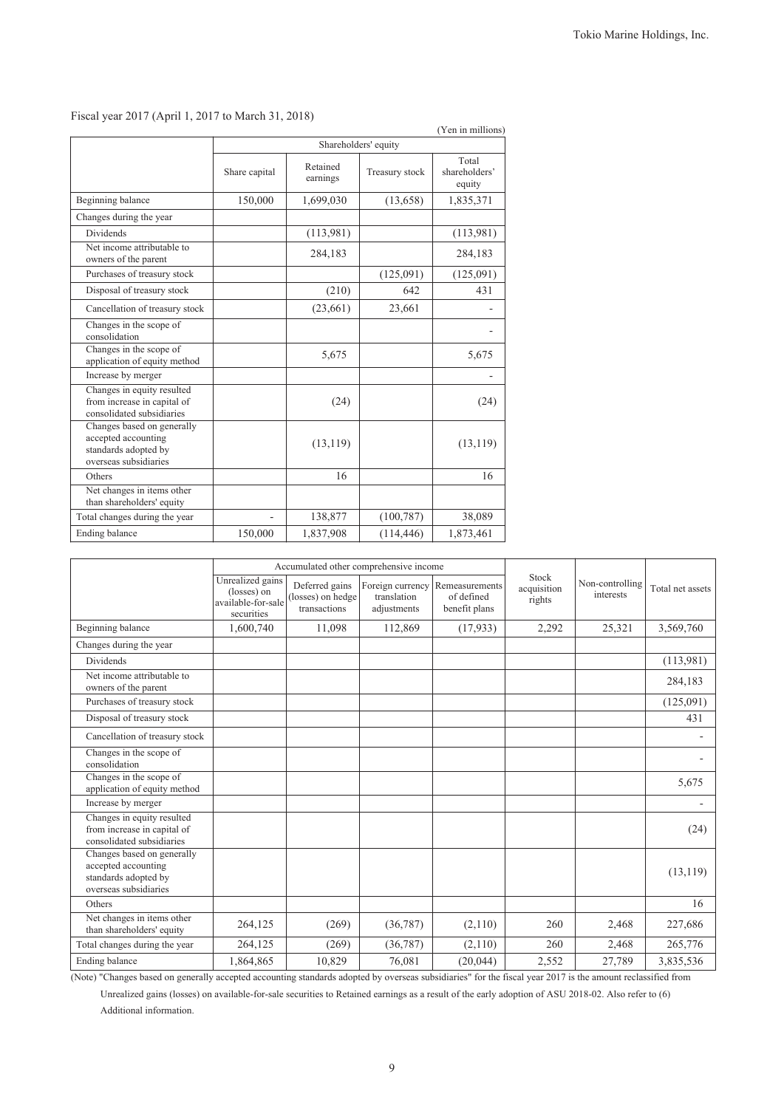|                                                                                                    |                      |                      |                | (Yen in millions)                |
|----------------------------------------------------------------------------------------------------|----------------------|----------------------|----------------|----------------------------------|
|                                                                                                    | Shareholders' equity |                      |                |                                  |
|                                                                                                    | Share capital        | Retained<br>earnings | Treasury stock | Total<br>shareholders'<br>equity |
| Beginning balance                                                                                  | 150,000              | 1,699,030            | (13, 658)      | 1,835,371                        |
| Changes during the year                                                                            |                      |                      |                |                                  |
| Dividends                                                                                          |                      | (113,981)            |                | (113,981)                        |
| Net income attributable to<br>owners of the parent                                                 |                      | 284,183              |                | 284,183                          |
| Purchases of treasury stock                                                                        |                      |                      | (125,091)      | (125,091)                        |
| Disposal of treasury stock                                                                         |                      | (210)                | 642            | 431                              |
| Cancellation of treasury stock                                                                     |                      | (23,661)             | 23,661         |                                  |
| Changes in the scope of<br>consolidation                                                           |                      |                      |                |                                  |
| Changes in the scope of<br>application of equity method                                            |                      | 5,675                |                | 5,675                            |
| Increase by merger                                                                                 |                      |                      |                |                                  |
| Changes in equity resulted<br>from increase in capital of<br>consolidated subsidiaries             |                      | (24)                 |                | (24)                             |
| Changes based on generally<br>accepted accounting<br>standards adopted by<br>overseas subsidiaries |                      | (13, 119)            |                | (13, 119)                        |
| Others                                                                                             |                      | 16                   |                | 16                               |
| Net changes in items other<br>than shareholders' equity                                            |                      |                      |                |                                  |
| Total changes during the year                                                                      |                      | 138,877              | (100, 787)     | 38,089                           |
| Ending balance                                                                                     | 150,000              | 1,837,908            | (114, 446)     | 1,873,461                        |

## Fiscal year 2017 (April 1, 2017 to March 31, 2018)

|                                                                                                    | Accumulated other comprehensive income                              |                                                     |                            |                                                                |                                |                              |                  |
|----------------------------------------------------------------------------------------------------|---------------------------------------------------------------------|-----------------------------------------------------|----------------------------|----------------------------------------------------------------|--------------------------------|------------------------------|------------------|
|                                                                                                    | Unrealized gains<br>(losses) on<br>available-for-sale<br>securities | Deferred gains<br>(losses) on hedge<br>transactions | translation<br>adjustments | Foreign currency Remeasurements<br>of defined<br>benefit plans | Stock<br>acquisition<br>rights | Non-controlling<br>interests | Total net assets |
| Beginning balance                                                                                  | 1,600,740                                                           | 11,098                                              | 112,869                    | (17,933)                                                       | 2,292                          | 25,321                       | 3,569,760        |
| Changes during the year                                                                            |                                                                     |                                                     |                            |                                                                |                                |                              |                  |
| Dividends                                                                                          |                                                                     |                                                     |                            |                                                                |                                |                              | (113,981)        |
| Net income attributable to<br>owners of the parent                                                 |                                                                     |                                                     |                            |                                                                |                                |                              | 284,183          |
| Purchases of treasury stock                                                                        |                                                                     |                                                     |                            |                                                                |                                |                              | (125,091)        |
| Disposal of treasury stock                                                                         |                                                                     |                                                     |                            |                                                                |                                |                              | 431              |
| Cancellation of treasury stock                                                                     |                                                                     |                                                     |                            |                                                                |                                |                              |                  |
| Changes in the scope of<br>consolidation                                                           |                                                                     |                                                     |                            |                                                                |                                |                              |                  |
| Changes in the scope of<br>application of equity method                                            |                                                                     |                                                     |                            |                                                                |                                |                              | 5,675            |
| Increase by merger                                                                                 |                                                                     |                                                     |                            |                                                                |                                |                              |                  |
| Changes in equity resulted<br>from increase in capital of<br>consolidated subsidiaries             |                                                                     |                                                     |                            |                                                                |                                |                              | (24)             |
| Changes based on generally<br>accepted accounting<br>standards adopted by<br>overseas subsidiaries |                                                                     |                                                     |                            |                                                                |                                |                              | (13, 119)        |
| Others                                                                                             |                                                                     |                                                     |                            |                                                                |                                |                              | 16               |
| Net changes in items other<br>than shareholders' equity                                            | 264,125                                                             | (269)                                               | (36, 787)                  | (2,110)                                                        | 260                            | 2,468                        | 227,686          |
| Total changes during the year                                                                      | 264,125                                                             | (269)                                               | (36, 787)                  | (2,110)                                                        | 260                            | 2,468                        | 265,776          |
| Ending balance                                                                                     | 1,864,865                                                           | 10,829                                              | 76,081                     | (20, 044)                                                      | 2,552                          | 27,789                       | 3,835,536        |

(Note) "Changes based on generally accepted accounting standards adopted by overseas subsidiaries" for the fiscal year 2017 is the amount reclassified from Unrealized gains (losses) on available-for-sale securities to Retained earnings as a result of the early adoption of ASU 2018-02. Also refer to (6)

Additional information.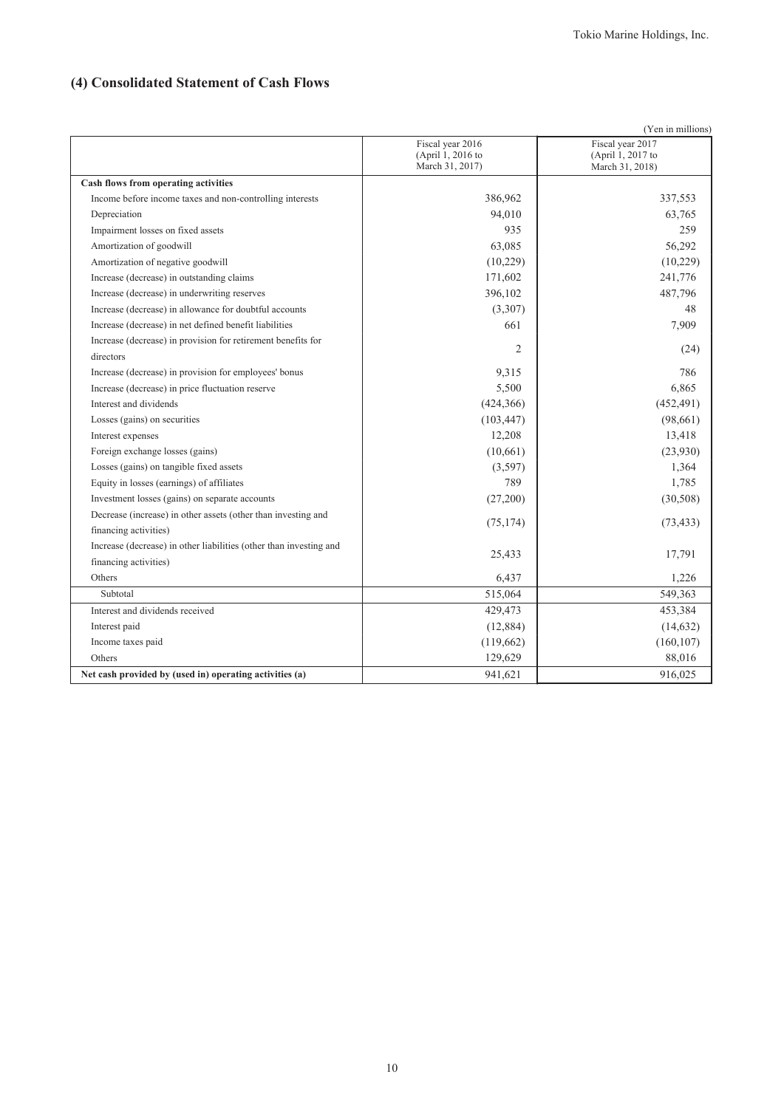# **(4) Consolidated Statement of Cash Flows**

| (Yen in millions)                                                  |                                                          |                                                          |  |  |
|--------------------------------------------------------------------|----------------------------------------------------------|----------------------------------------------------------|--|--|
|                                                                    | Fiscal year 2016<br>(April 1, 2016 to<br>March 31, 2017) | Fiscal year 2017<br>(April 1, 2017 to<br>March 31, 2018) |  |  |
| Cash flows from operating activities                               |                                                          |                                                          |  |  |
| Income before income taxes and non-controlling interests           | 386,962                                                  | 337,553                                                  |  |  |
| Depreciation                                                       | 94,010                                                   | 63,765                                                   |  |  |
| Impairment losses on fixed assets                                  | 935                                                      | 259                                                      |  |  |
| Amortization of goodwill                                           | 63,085                                                   | 56,292                                                   |  |  |
| Amortization of negative goodwill                                  | (10,229)                                                 | (10,229)                                                 |  |  |
| Increase (decrease) in outstanding claims                          | 171,602                                                  | 241,776                                                  |  |  |
| Increase (decrease) in underwriting reserves                       | 396,102                                                  | 487,796                                                  |  |  |
| Increase (decrease) in allowance for doubtful accounts             | (3,307)                                                  | 48                                                       |  |  |
| Increase (decrease) in net defined benefit liabilities             | 661                                                      | 7,909                                                    |  |  |
| Increase (decrease) in provision for retirement benefits for       | $\overline{2}$                                           | (24)                                                     |  |  |
| directors                                                          |                                                          |                                                          |  |  |
| Increase (decrease) in provision for employees' bonus              | 9,315                                                    | 786                                                      |  |  |
| Increase (decrease) in price fluctuation reserve                   | 5,500                                                    | 6,865                                                    |  |  |
| Interest and dividends                                             | (424, 366)                                               | (452, 491)                                               |  |  |
| Losses (gains) on securities                                       | (103, 447)                                               | (98,661)                                                 |  |  |
| Interest expenses                                                  | 12,208                                                   | 13,418                                                   |  |  |
| Foreign exchange losses (gains)                                    | (10,661)                                                 | (23,930)                                                 |  |  |
| Losses (gains) on tangible fixed assets                            | (3,597)                                                  | 1,364                                                    |  |  |
| Equity in losses (earnings) of affiliates                          | 789                                                      | 1,785                                                    |  |  |
| Investment losses (gains) on separate accounts                     | (27,200)                                                 | (30, 508)                                                |  |  |
| Decrease (increase) in other assets (other than investing and      |                                                          |                                                          |  |  |
| financing activities)                                              | (75, 174)                                                | (73, 433)                                                |  |  |
| Increase (decrease) in other liabilities (other than investing and | 25,433                                                   | 17,791                                                   |  |  |
| financing activities)                                              |                                                          |                                                          |  |  |
| Others                                                             | 6,437                                                    | 1,226                                                    |  |  |
| Subtotal                                                           | 515,064                                                  | 549,363                                                  |  |  |
| Interest and dividends received                                    | 429,473                                                  | 453,384                                                  |  |  |
| Interest paid                                                      | (12, 884)                                                | (14, 632)                                                |  |  |
| Income taxes paid                                                  | (119, 662)                                               | (160, 107)                                               |  |  |
| Others                                                             | 129,629                                                  | 88,016                                                   |  |  |
| Net cash provided by (used in) operating activities (a)            | 941,621                                                  | 916,025                                                  |  |  |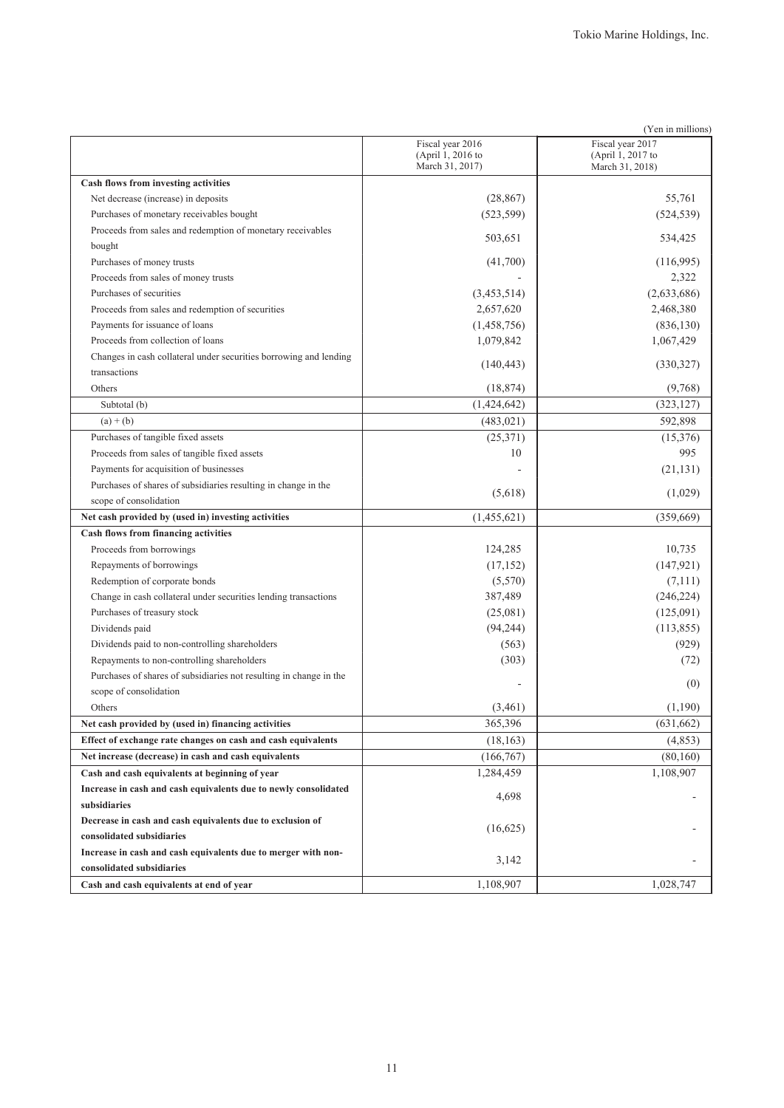|                                                                    |                                                          | (Yen in millions)                                        |
|--------------------------------------------------------------------|----------------------------------------------------------|----------------------------------------------------------|
|                                                                    | Fiscal year 2016<br>(April 1, 2016 to<br>March 31, 2017) | Fiscal year 2017<br>(April 1, 2017 to<br>March 31, 2018) |
| Cash flows from investing activities                               |                                                          |                                                          |
| Net decrease (increase) in deposits                                | (28, 867)                                                | 55,761                                                   |
| Purchases of monetary receivables bought                           | (523, 599)                                               | (524, 539)                                               |
| Proceeds from sales and redemption of monetary receivables         |                                                          |                                                          |
| bought                                                             | 503,651                                                  | 534,425                                                  |
| Purchases of money trusts                                          | (41,700)                                                 | (116,995)                                                |
| Proceeds from sales of money trusts                                |                                                          | 2,322                                                    |
| Purchases of securities                                            | (3,453,514)                                              | (2,633,686)                                              |
| Proceeds from sales and redemption of securities                   | 2,657,620                                                | 2,468,380                                                |
| Payments for issuance of loans                                     | (1,458,756)                                              | (836, 130)                                               |
| Proceeds from collection of loans                                  | 1,079,842                                                | 1,067,429                                                |
| Changes in cash collateral under securities borrowing and lending  | (140, 443)                                               | (330,327)                                                |
| transactions                                                       |                                                          |                                                          |
| Others                                                             | (18, 874)                                                | (9,768)                                                  |
| Subtotal (b)                                                       | (1,424,642)                                              | (323, 127)                                               |
| $(a) + (b)$                                                        | (483, 021)                                               | 592,898                                                  |
| Purchases of tangible fixed assets                                 | (25,371)                                                 | (15,376)                                                 |
| Proceeds from sales of tangible fixed assets                       | 10                                                       | 995                                                      |
| Payments for acquisition of businesses                             |                                                          | (21, 131)                                                |
| Purchases of shares of subsidiaries resulting in change in the     | (5,618)                                                  | (1,029)                                                  |
| scope of consolidation                                             |                                                          |                                                          |
| Net cash provided by (used in) investing activities                | (1,455,621)                                              | (359, 669)                                               |
| Cash flows from financing activities                               |                                                          |                                                          |
| Proceeds from borrowings                                           | 124,285                                                  | 10,735                                                   |
| Repayments of borrowings                                           | (17, 152)                                                | (147, 921)                                               |
| Redemption of corporate bonds                                      | (5,570)                                                  | (7,111)                                                  |
| Change in cash collateral under securities lending transactions    | 387,489                                                  | (246, 224)                                               |
| Purchases of treasury stock                                        | (25,081)                                                 | (125,091)                                                |
| Dividends paid                                                     | (94, 244)                                                | (113, 855)                                               |
| Dividends paid to non-controlling shareholders                     | (563)                                                    | (929)                                                    |
| Repayments to non-controlling shareholders                         | (303)                                                    | (72)                                                     |
| Purchases of shares of subsidiaries not resulting in change in the |                                                          | (0)                                                      |
| scope of consolidation                                             |                                                          |                                                          |
| Others                                                             | (3,461)                                                  | (1,190)                                                  |
| Net cash provided by (used in) financing activities                | 365,396                                                  | (631, 662)                                               |
| Effect of exchange rate changes on cash and cash equivalents       | (18, 163)                                                | (4, 853)                                                 |
| Net increase (decrease) in cash and cash equivalents               | (166,767)                                                | (80,160)                                                 |
| Cash and cash equivalents at beginning of year                     | 1,284,459                                                | 1,108,907                                                |
| Increase in cash and cash equivalents due to newly consolidated    | 4,698                                                    |                                                          |
| subsidiaries                                                       |                                                          |                                                          |
| Decrease in cash and cash equivalents due to exclusion of          | (16,625)                                                 | ٠                                                        |
| consolidated subsidiaries                                          |                                                          |                                                          |
| Increase in cash and cash equivalents due to merger with non-      | 3,142                                                    |                                                          |
| consolidated subsidiaries                                          |                                                          |                                                          |
| Cash and cash equivalents at end of year                           | 1,108,907                                                | 1,028,747                                                |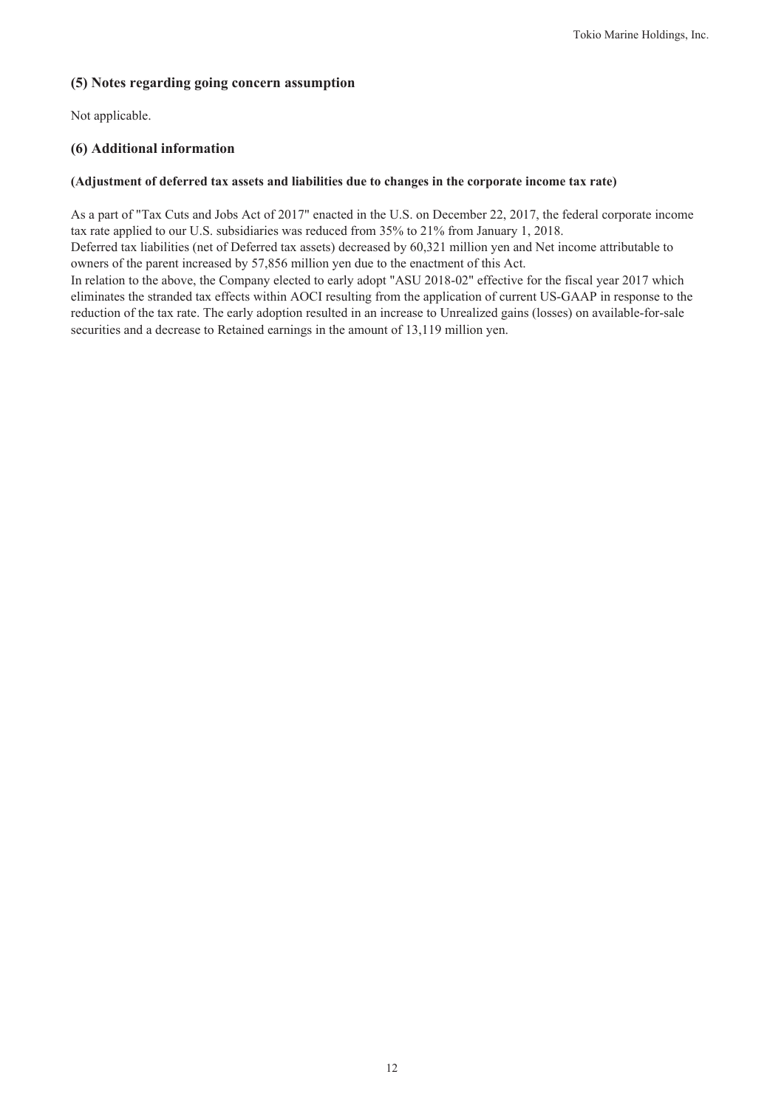# **(5) Notes regarding going concern assumption**

Not applicable.

# **(6) Additional information**

## **(Adjustment of deferred tax assets and liabilities due to changes in the corporate income tax rate)**

As a part of "Tax Cuts and Jobs Act of 2017" enacted in the U.S. on December 22, 2017, the federal corporate income tax rate applied to our U.S. subsidiaries was reduced from 35% to 21% from January 1, 2018.

Deferred tax liabilities (net of Deferred tax assets) decreased by 60,321 million yen and Net income attributable to owners of the parent increased by 57,856 million yen due to the enactment of this Act.

In relation to the above, the Company elected to early adopt "ASU 2018-02" effective for the fiscal year 2017 which eliminates the stranded tax effects within AOCI resulting from the application of current US-GAAP in response to the reduction of the tax rate. The early adoption resulted in an increase to Unrealized gains (losses) on available-for-sale securities and a decrease to Retained earnings in the amount of 13,119 million yen.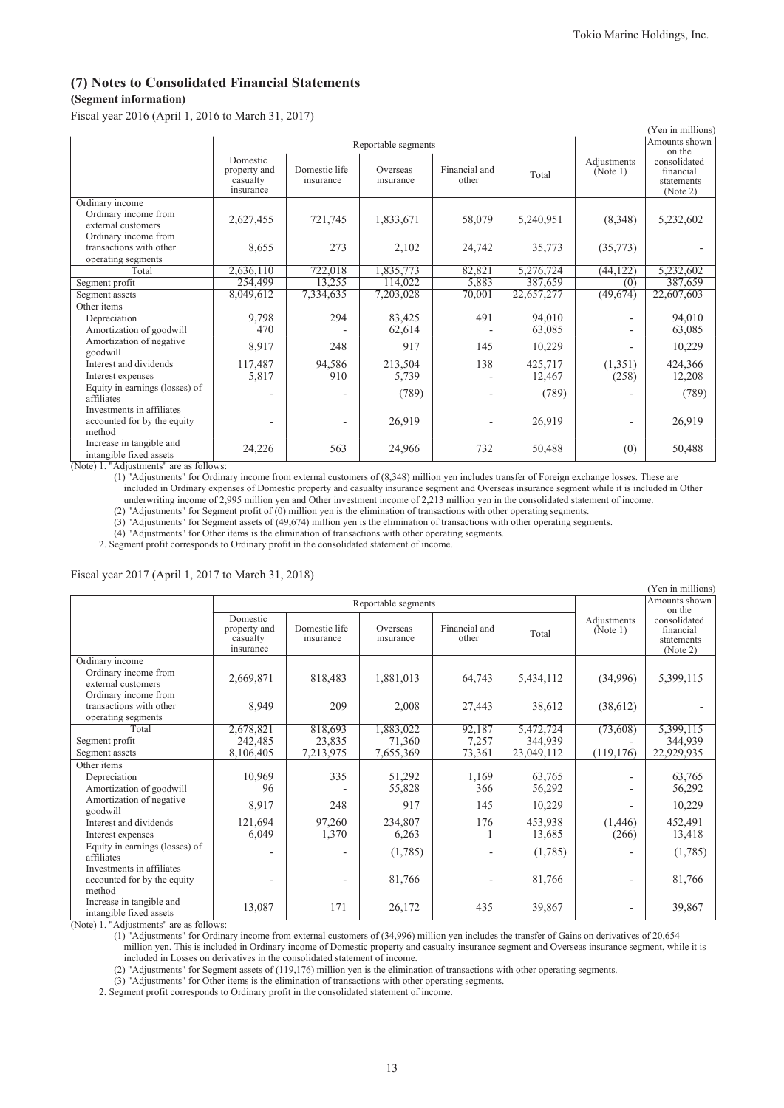# **(7) Notes to Consolidated Financial Statements**

# **(Segment information)**

Fiscal year 2016 (April 1, 2016 to March 31, 2017)

|                                                                                       |                                                   |                            |                       |                        |            |                         | (Yen in millions)                                             |
|---------------------------------------------------------------------------------------|---------------------------------------------------|----------------------------|-----------------------|------------------------|------------|-------------------------|---------------------------------------------------------------|
|                                                                                       | Reportable segments                               |                            |                       |                        |            | Amounts shown           |                                                               |
|                                                                                       | Domestic<br>property and<br>casualty<br>insurance | Domestic life<br>insurance | Overseas<br>insurance | Financial and<br>other | Total      | Adjustments<br>(Note 1) | on the<br>consolidated<br>financial<br>statements<br>(Note 2) |
| Ordinary income<br>Ordinary income from<br>external customers<br>Ordinary income from | 2,627,455                                         | 721,745                    | 1,833,671             | 58,079                 | 5,240,951  | (8,348)                 | 5,232,602                                                     |
| transactions with other<br>operating segments                                         | 8,655                                             | 273                        | 2,102                 | 24,742                 | 35,773     | (35,773)                |                                                               |
| Total                                                                                 | 2,636,110                                         | 722,018                    | 1,835,773             | 82,821                 | 5,276,724  | (44, 122)               | 5,232,602                                                     |
| Segment profit                                                                        | 254,499                                           | 13,255                     | 114,022               | 5,883                  | 387,659    | (0)                     | 387,659                                                       |
| Segment assets                                                                        | 8,049,612                                         | 7,334,635                  | 7,203,028             | 70,001                 | 22,657,277 | (49, 674)               | 22,607,603                                                    |
| Other items                                                                           |                                                   |                            |                       |                        |            |                         |                                                               |
| Depreciation                                                                          | 9,798                                             | 294                        | 83,425                | 491                    | 94,010     |                         | 94,010                                                        |
| Amortization of goodwill                                                              | 470                                               |                            | 62,614                |                        | 63,085     |                         | 63,085                                                        |
| Amortization of negative<br>goodwill                                                  | 8,917                                             | 248                        | 917                   | 145                    | 10,229     |                         | 10,229                                                        |
| Interest and dividends                                                                | 117,487                                           | 94,586                     | 213,504               | 138                    | 425,717    | (1,351)                 | 424,366                                                       |
| Interest expenses                                                                     | 5,817                                             | 910                        | 5,739                 |                        | 12,467     | (258)                   | 12,208                                                        |
| Equity in earnings (losses) of<br>affiliates                                          |                                                   |                            | (789)                 |                        | (789)      |                         | (789)                                                         |
| Investments in affiliates<br>accounted for by the equity<br>method                    |                                                   |                            | 26,919                |                        | 26,919     |                         | 26,919                                                        |
| Increase in tangible and<br>intangible fixed assets                                   | 24,226                                            | 563                        | 24,966                | 732                    | 50,488     | (0)                     | 50,488                                                        |

(Note) 1. "Adjustments" are as follows:

(1) "Adjustments" for Ordinary income from external customers of (8,348) million yen includes transfer of Foreign exchange losses. These are included in Ordinary expenses of Domestic property and casualty insurance segment and Overseas insurance segment while it is included in Other

underwriting income of 2,995 million yen and Other investment income of 2,213 million yen in the consolidated statement of income.

(2) "Adjustments" for Segment profit of (0) million yen is the elimination of transactions with other operating segments.

(3) "Adjustments" for Segment assets of (49,674) million yen is the elimination of transactions with other operating segments.

(4) "Adjustments" for Other items is the elimination of transactions with other operating segments. 2. Segment profit corresponds to Ordinary profit in the consolidated statement of income.

# Fiscal year 2017 (April 1, 2017 to March 31, 2018)

|                                                                                       | (Yen in millions)                                 |                            |                       |                          |                   |                         |                                                     |  |  |
|---------------------------------------------------------------------------------------|---------------------------------------------------|----------------------------|-----------------------|--------------------------|-------------------|-------------------------|-----------------------------------------------------|--|--|
|                                                                                       |                                                   |                            | Reportable segments   |                          |                   |                         | Amounts shown<br>on the                             |  |  |
|                                                                                       | Domestic<br>property and<br>casualty<br>insurance | Domestic life<br>insurance | Overseas<br>insurance | Financial and<br>other   | Total             | Adjustments<br>(Note 1) | consolidated<br>financial<br>statements<br>(Note 2) |  |  |
| Ordinary income<br>Ordinary income from<br>external customers<br>Ordinary income from | 2,669,871                                         | 818,483                    | 1,881,013             | 64,743                   | 5,434,112         | (34,996)                | 5,399,115                                           |  |  |
| transactions with other<br>operating segments                                         | 8,949                                             | 209                        | 2,008                 | 27,443                   | 38,612            | (38,612)                |                                                     |  |  |
| Total                                                                                 | 2,678,821                                         | 818,693                    | 1,883,022             | 92,187                   | 5,472,724         | (73,608)                | 5,399,115                                           |  |  |
| Segment profit                                                                        | 242,485                                           | 23,835                     | 71,360                | 7,257                    | 344,939           |                         | 344,939                                             |  |  |
| Segment assets                                                                        | 8,106,405                                         | 7,213,975                  | 7,655,369             | 73,361                   | 23,049,112        | (119, 176)              | 22,929,935                                          |  |  |
| Other items                                                                           |                                                   |                            |                       |                          |                   |                         |                                                     |  |  |
| Depreciation<br>Amortization of goodwill                                              | 10,969<br>96                                      | 335                        | 51,292<br>55,828      | 1,169<br>366             | 63,765<br>56,292  |                         | 63,765<br>56,292                                    |  |  |
| Amortization of negative<br>goodwill                                                  | 8,917                                             | 248                        | 917                   | 145                      | 10,229            |                         | 10,229                                              |  |  |
| Interest and dividends<br>Interest expenses                                           | 121,694<br>6,049                                  | 97,260<br>1,370            | 234,807<br>6,263      | 176                      | 453,938<br>13,685 | (1,446)<br>(266)        | 452,491<br>13,418                                   |  |  |
| Equity in earnings (losses) of<br>affiliates<br>Investments in affiliates             |                                                   |                            | (1,785)               |                          | (1,785)           |                         | (1,785)                                             |  |  |
| accounted for by the equity<br>method                                                 |                                                   | $\overline{\phantom{a}}$   | 81,766                | $\overline{\phantom{a}}$ | 81,766            |                         | 81,766                                              |  |  |
| Increase in tangible and<br>intangible fixed assets                                   | 13,087                                            | 171                        | 26,172                | 435                      | 39,867            |                         | 39,867                                              |  |  |

(Note) 1. "Adjustments" are as follows:

(1) "Adjustments" for Ordinary income from external customers of (34,996) million yen includes the transfer of Gains on derivatives of 20,654

million yen. This is included in Ordinary income of Domestic property and casualty insurance segment and Overseas insurance segment, while it is included in Losses on derivatives in the consolidated statement of income.

(2) "Adjustments" for Segment assets of (119,176) million yen is the elimination of transactions with other operating segments.

(3) "Adjustments" for Other items is the elimination of transactions with other operating segments.

2. Segment profit corresponds to Ordinary profit in the consolidated statement of income.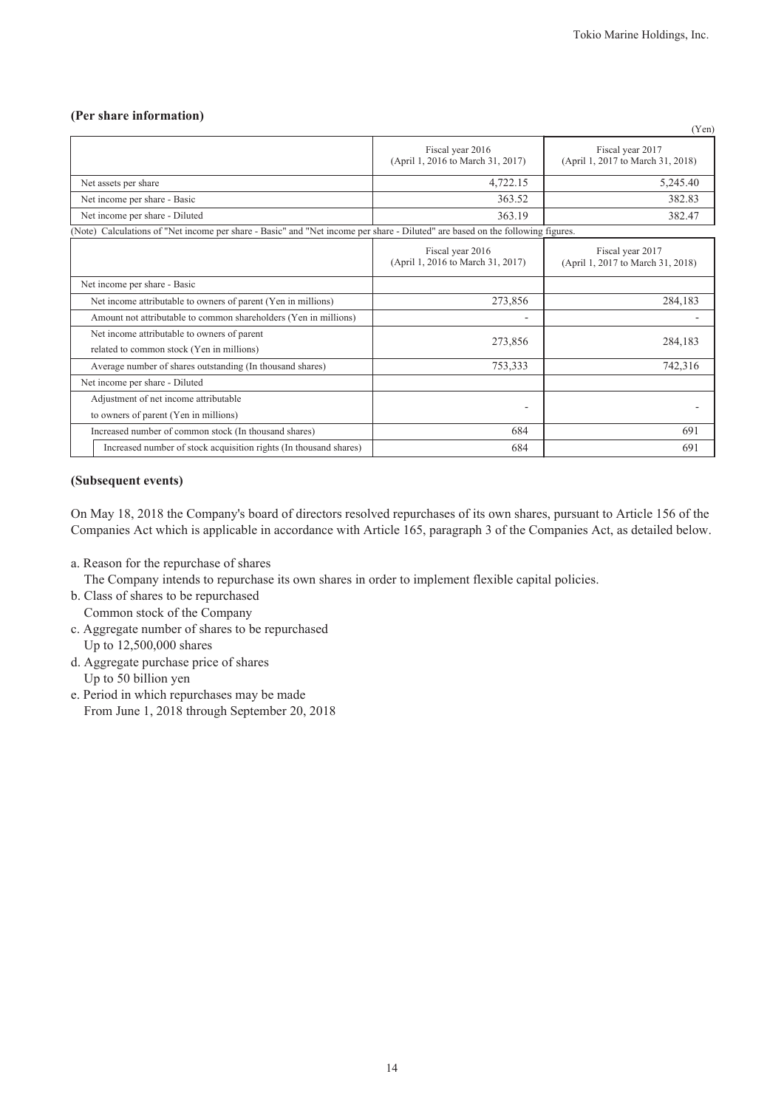# **(Per share information)**

|                                                                                                                                |                                                       | (Yen)                                                 |
|--------------------------------------------------------------------------------------------------------------------------------|-------------------------------------------------------|-------------------------------------------------------|
|                                                                                                                                | Fiscal year 2016<br>(April 1, 2016 to March 31, 2017) | Fiscal year 2017<br>(April 1, 2017 to March 31, 2018) |
| Net assets per share                                                                                                           | 4,722.15                                              | 5,245.40                                              |
| Net income per share - Basic                                                                                                   | 363.52                                                | 382.83                                                |
| Net income per share - Diluted                                                                                                 | 363.19                                                | 382.47                                                |
| (Note) Calculations of "Net income per share - Basic" and "Net income per share - Diluted" are based on the following figures. |                                                       |                                                       |
|                                                                                                                                | Fiscal year 2016<br>(April 1, 2016 to March 31, 2017) | Fiscal year 2017<br>(April 1, 2017 to March 31, 2018) |
| Net income per share - Basic                                                                                                   |                                                       |                                                       |
| Net income attributable to owners of parent (Yen in millions)                                                                  | 273,856                                               | 284,183                                               |
| Amount not attributable to common shareholders (Yen in millions)                                                               |                                                       |                                                       |
| Net income attributable to owners of parent<br>related to common stock (Yen in millions)                                       | 273,856                                               | 284,183                                               |
| Average number of shares outstanding (In thousand shares)                                                                      | 753,333                                               | 742,316                                               |
| Net income per share - Diluted                                                                                                 |                                                       |                                                       |
| Adjustment of net income attributable                                                                                          |                                                       |                                                       |
| to owners of parent (Yen in millions)                                                                                          | ٠                                                     |                                                       |
| Increased number of common stock (In thousand shares)                                                                          | 684                                                   | 691                                                   |
| Increased number of stock acquisition rights (In thousand shares)                                                              | 684                                                   | 691                                                   |

## **(Subsequent events)**

On May 18, 2018 the Company's board of directors resolved repurchases of its own shares, pursuant to Article 156 of the Companies Act which is applicable in accordance with Article 165, paragraph 3 of the Companies Act, as detailed below.

a. Reason for the repurchase of shares

The Company intends to repurchase its own shares in order to implement flexible capital policies.

- b. Class of shares to be repurchased Common stock of the Company
- c. Aggregate number of shares to be repurchased Up to 12,500,000 shares
- d. Aggregate purchase price of shares Up to 50 billion yen
- e. Period in which repurchases may be made From June 1, 2018 through September 20, 2018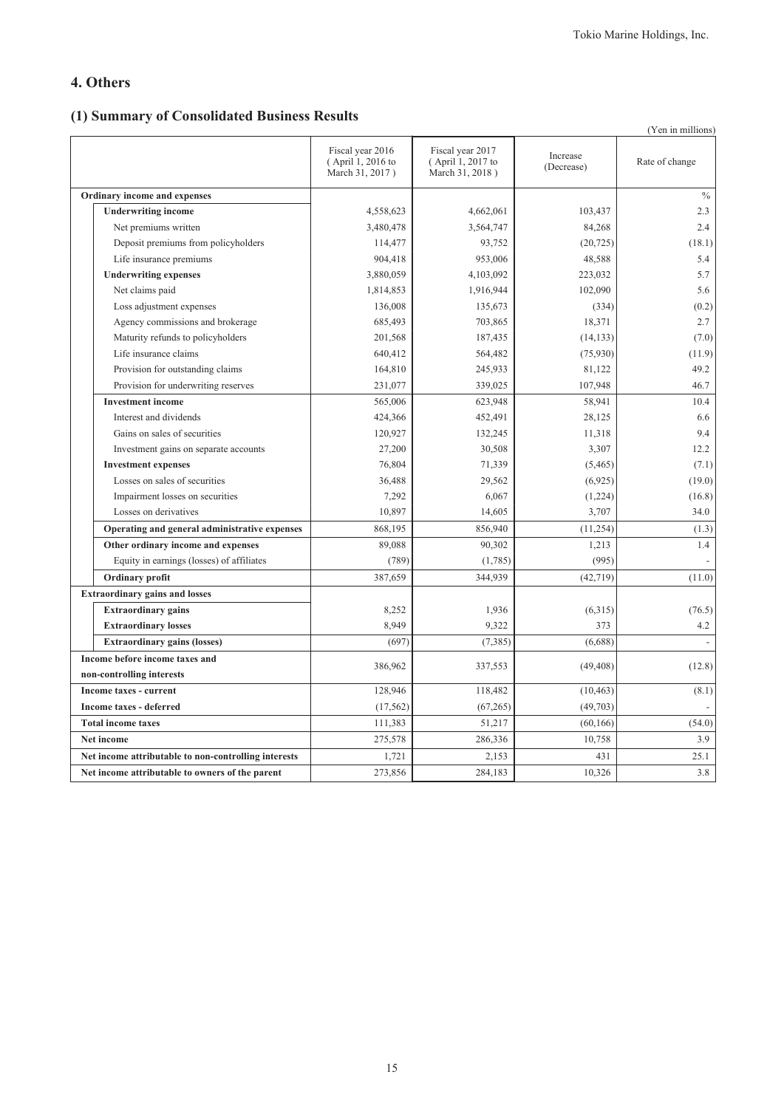# **4. Others**

# **(1) Summary of Consolidated Business Results**

|                                                      |                                                          |                                                          |                        | (Yen in millions) |
|------------------------------------------------------|----------------------------------------------------------|----------------------------------------------------------|------------------------|-------------------|
|                                                      | Fiscal year 2016<br>(April 1, 2016 to<br>March 31, 2017) | Fiscal year 2017<br>(April 1, 2017 to<br>March 31, 2018) | Increase<br>(Decrease) | Rate of change    |
| Ordinary income and expenses                         |                                                          |                                                          |                        | $\%$              |
| <b>Underwriting income</b>                           | 4,558,623                                                | 4,662,061                                                | 103,437                | 2.3               |
| Net premiums written                                 | 3,480,478                                                | 3,564,747                                                | 84,268                 | 2.4               |
| Deposit premiums from policyholders                  | 114,477                                                  | 93,752                                                   | (20, 725)              | (18.1)            |
| Life insurance premiums                              | 904,418                                                  | 953,006                                                  | 48,588                 | 5.4               |
| <b>Underwriting expenses</b>                         | 3,880,059                                                | 4,103,092                                                | 223,032                | 5.7               |
| Net claims paid                                      | 1,814,853                                                | 1,916,944                                                | 102,090                | 5.6               |
| Loss adjustment expenses                             | 136,008                                                  | 135,673                                                  | (334)                  | (0.2)             |
| Agency commissions and brokerage                     | 685,493                                                  | 703,865                                                  | 18,371                 | 2.7               |
| Maturity refunds to policyholders                    | 201,568                                                  | 187,435                                                  | (14, 133)              | (7.0)             |
| Life insurance claims                                | 640,412                                                  | 564,482                                                  | (75, 930)              | (11.9)            |
| Provision for outstanding claims                     | 164,810                                                  | 245,933                                                  | 81,122                 | 49.2              |
| Provision for underwriting reserves                  | 231,077                                                  | 339,025                                                  | 107,948                | 46.7              |
| <b>Investment income</b>                             | 565,006                                                  | 623,948                                                  | 58,941                 | 10.4              |
| Interest and dividends                               | 424,366                                                  | 452,491                                                  | 28,125                 | 6.6               |
| Gains on sales of securities                         | 120,927                                                  | 132,245                                                  | 11,318                 | 9.4               |
| Investment gains on separate accounts                | 27,200                                                   | 30,508                                                   | 3,307                  | 12.2              |
| <b>Investment expenses</b>                           | 76,804                                                   | 71,339                                                   | (5,465)                | (7.1)             |
| Losses on sales of securities                        | 36,488                                                   | 29,562                                                   | (6,925)                | (19.0)            |
| Impairment losses on securities                      | 7,292                                                    | 6,067                                                    | (1,224)                | (16.8)            |
| Losses on derivatives                                | 10,897                                                   | 14,605                                                   | 3,707                  | 34.0              |
| Operating and general administrative expenses        | 868,195                                                  | 856,940                                                  | (11, 254)              | (1.3)             |
| Other ordinary income and expenses                   | 89,088                                                   | 90,302                                                   | 1,213                  | 1.4               |
| Equity in earnings (losses) of affiliates            | (789)                                                    | (1,785)                                                  | (995)                  |                   |
| Ordinary profit                                      | 387,659                                                  | 344,939                                                  | (42, 719)              | (11.0)            |
| <b>Extraordinary gains and losses</b>                |                                                          |                                                          |                        |                   |
| <b>Extraordinary gains</b>                           | 8,252                                                    | 1,936                                                    | (6,315)                | (76.5)            |
| <b>Extraordinary losses</b>                          | 8,949                                                    | 9,322                                                    | 373                    | 4.2               |
| <b>Extraordinary gains (losses)</b>                  | (697)                                                    | (7, 385)                                                 | (6,688)                |                   |
| Income before income taxes and                       | 386,962                                                  | 337,553                                                  | (49, 408)              | (12.8)            |
| non-controlling interests                            |                                                          |                                                          |                        |                   |
| <b>Income taxes - current</b>                        | 128,946                                                  | 118,482                                                  | (10, 463)              | (8.1)             |
| <b>Income taxes - deferred</b>                       | (17, 562)                                                | (67, 265)                                                | (49,703)               |                   |
| <b>Total income taxes</b>                            | 111,383                                                  | 51,217                                                   | (60, 166)              | (54.0)            |
| <b>Net income</b>                                    | 275,578                                                  | 286,336                                                  | 10,758                 | 3.9               |
| Net income attributable to non-controlling interests | 1,721                                                    | 2,153                                                    | 431                    | 25.1              |
| Net income attributable to owners of the parent      | 273,856                                                  | 284,183                                                  | 10,326                 | 3.8               |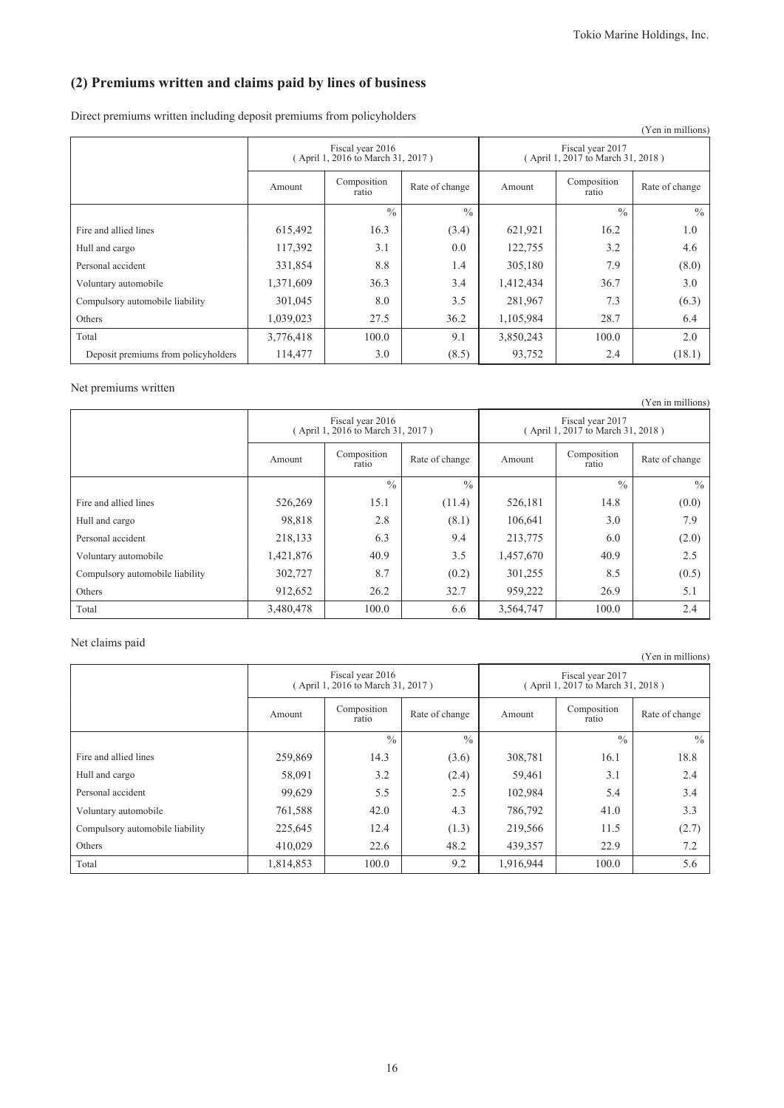# **(2) Premiums written and claims paid by lines of business**

Direct premiums written including deposit premiums from policyholders

|                                     |           |                                                       |                |                                                       |                      | (Yen in millions) |  |
|-------------------------------------|-----------|-------------------------------------------------------|----------------|-------------------------------------------------------|----------------------|-------------------|--|
|                                     |           | Fiscal year 2016<br>(April 1, 2016 to March 31, 2017) |                | Fiscal year 2017<br>(April 1, 2017 to March 31, 2018) |                      |                   |  |
|                                     | Amount    | Composition<br>ratio                                  | Rate of change | Amount                                                | Composition<br>ratio | Rate of change    |  |
|                                     |           | $\frac{0}{0}$                                         | $\frac{0}{0}$  |                                                       | $\frac{0}{0}$        | $\frac{0}{0}$     |  |
| Fire and allied lines               | 615,492   | 16.3                                                  | (3.4)          | 621,921                                               | 16.2                 | 1.0               |  |
| Hull and cargo                      | 117,392   | 3.1                                                   | 0.0            | 122,755                                               | 3.2                  | 4.6               |  |
| Personal accident                   | 331,854   | 8.8                                                   | 1.4            | 305,180                                               | 7.9                  | (8.0)             |  |
| Voluntary automobile                | 1,371,609 | 36.3                                                  | 3.4            | 1,412,434                                             | 36.7                 | 3.0               |  |
| Compulsory automobile liability     | 301,045   | 8.0                                                   | 3.5            | 281,967                                               | 7.3                  | (6.3)             |  |
| Others                              | 1,039,023 | 27.5                                                  | 36.2           | 1,105,984                                             | 28.7                 | 6.4               |  |
| Total                               | 3,776,418 | 100.0                                                 | 9.1            | 3,850,243                                             | 100.0                | 2.0               |  |
| Deposit premiums from policyholders | 114,477   | 3.0                                                   | (8.5)          | 93,752                                                | 2.4                  | (18.1)            |  |

Net premiums written

|                                 |           | Fiscal year 2016<br>(April 1, 2016 to March 31, 2017) |                | Fiscal year 2017<br>(April 1, 2017 to March 31, 2018) |                      |                |  |
|---------------------------------|-----------|-------------------------------------------------------|----------------|-------------------------------------------------------|----------------------|----------------|--|
|                                 | Amount    | Composition<br>ratio                                  | Rate of change | Amount                                                | Composition<br>ratio | Rate of change |  |
|                                 |           | $\frac{0}{0}$                                         | $\frac{0}{0}$  |                                                       | $\frac{0}{0}$        | $\frac{0}{0}$  |  |
| Fire and allied lines           | 526,269   | 15.1                                                  | (11.4)         | 526,181                                               | 14.8                 | (0.0)          |  |
| Hull and cargo                  | 98,818    | 2.8                                                   | (8.1)          | 106,641                                               | 3.0                  | 7.9            |  |
| Personal accident               | 218,133   | 6.3                                                   | 9.4            | 213,775                                               | 6.0                  | (2.0)          |  |
| Voluntary automobile            | 1,421,876 | 40.9                                                  | 3.5            | 1,457,670                                             | 40.9                 | 2.5            |  |
| Compulsory automobile liability | 302,727   | 8.7                                                   | (0.2)          | 301,255                                               | 8.5                  | (0.5)          |  |
| Others                          | 912,652   | 26.2                                                  | 32.7           | 959,222                                               | 26.9                 | 5.1            |  |
| Total                           | 3.480.478 | 100.0                                                 | 6.6            | 3,564,747                                             | 100.0                | 2.4            |  |

## Net claims paid

|                                 |           |                                                       |               |                                                       |                      | (Yen in millions) |  |
|---------------------------------|-----------|-------------------------------------------------------|---------------|-------------------------------------------------------|----------------------|-------------------|--|
|                                 |           | Fiscal year 2016<br>(April 1, 2016 to March 31, 2017) |               | Fiscal year 2017<br>(April 1, 2017 to March 31, 2018) |                      |                   |  |
|                                 | Amount    | Composition<br>Rate of change<br>ratio                |               |                                                       | Composition<br>ratio | Rate of change    |  |
|                                 |           | $\frac{0}{0}$                                         | $\frac{0}{0}$ |                                                       | $\frac{0}{0}$        | $\frac{0}{0}$     |  |
| Fire and allied lines           | 259,869   | 14.3                                                  | (3.6)         | 308,781                                               | 16.1                 | 18.8              |  |
| Hull and cargo                  | 58,091    | 3.2                                                   | (2.4)         | 59,461                                                | 3.1                  | 2.4               |  |
| Personal accident               | 99,629    | 5.5                                                   | 2.5           | 102,984                                               | 5.4                  | 3.4               |  |
| Voluntary automobile            | 761,588   | 42.0                                                  | 4.3           | 786,792                                               | 41.0                 | 3.3               |  |
| Compulsory automobile liability | 225,645   | 12.4                                                  | (1.3)         | 219,566                                               | 11.5                 | (2.7)             |  |
| Others                          | 410,029   | 22.6                                                  | 48.2          | 439,357                                               | 22.9                 | 7.2               |  |
| Total                           | 1,814,853 | 100.0                                                 | 9.2           | 1,916,944                                             | 100.0                | 5.6               |  |

(Yen in millions)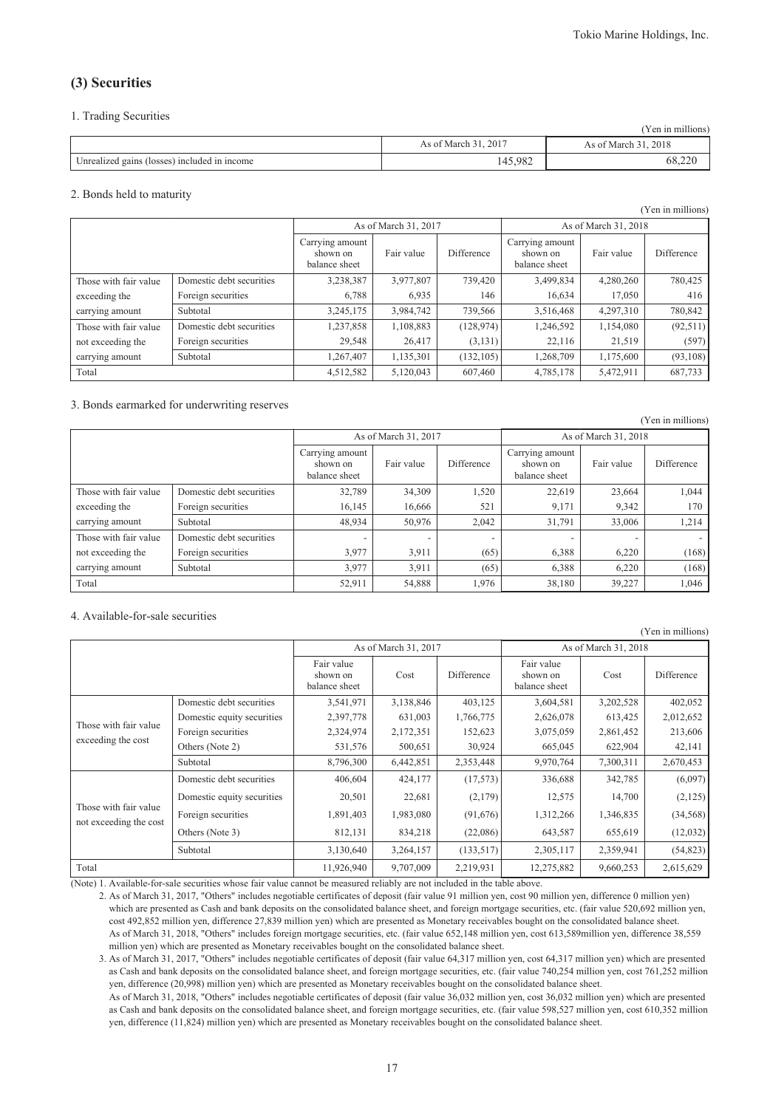(Yen in millions)

(Yen in millions)

# **(3) Securities**

#### 1. Trading Securities

|                                              |                      | (Yen in millions)    |
|----------------------------------------------|----------------------|----------------------|
|                                              | As of March 31, 2017 | As of March 31, 2018 |
| Unrealized gains (losses) included in income | 145,982              | 68.ZZU               |

#### 2. Bonds held to maturity

|                       |                          |                                              |                      |            |                                              |            | (Yen in millions) |  |
|-----------------------|--------------------------|----------------------------------------------|----------------------|------------|----------------------------------------------|------------|-------------------|--|
|                       |                          |                                              | As of March 31, 2017 |            | As of March 31, 2018                         |            |                   |  |
|                       |                          | Carrying amount<br>shown on<br>balance sheet | Fair value           | Difference | Carrying amount<br>shown on<br>balance sheet | Fair value | Difference        |  |
| Those with fair value | Domestic debt securities | 3,238,387                                    | 3,977,807            | 739,420    | 3,499,834                                    | 4,280,260  | 780,425           |  |
| exceeding the         | Foreign securities       | 6,788                                        | 6,935                | 146        | 16,634                                       | 17,050     | 416               |  |
| carrying amount       | Subtotal                 | 3,245,175                                    | 3,984,742            | 739,566    | 3,516,468                                    | 4.297.310  | 780,842           |  |
| Those with fair value | Domestic debt securities | 1,237,858                                    | 1,108,883            | (128, 974) | 1,246,592                                    | 1,154,080  | (92,511)          |  |
| not exceeding the     | Foreign securities       | 29,548                                       | 26,417               | (3, 131)   | 22,116                                       | 21,519     | (597)             |  |
| carrying amount       | Subtotal                 | 1,267,407                                    | 1,135,301            | (132, 105) | 1,268,709                                    | 1,175,600  | (93,108)          |  |
| Total                 |                          | 4,512,582                                    | 5,120,043            | 607,460    | 4,785,178                                    | 5,472,911  | 687,733           |  |

#### 3. Bonds earmarked for underwriting reserves

| $1.911$ $1.11$ $1.111$ |                          |                                              |                          |            |                                              |            |                          |  |
|------------------------|--------------------------|----------------------------------------------|--------------------------|------------|----------------------------------------------|------------|--------------------------|--|
|                        |                          |                                              | As of March 31, 2017     |            | As of March 31, 2018                         |            |                          |  |
|                        |                          | Carrying amount<br>shown on<br>balance sheet | Fair value               | Difference | Carrying amount<br>shown on<br>balance sheet | Fair value | Difference               |  |
| Those with fair value  | Domestic debt securities | 32,789                                       | 34,309                   | 1,520      | 22,619                                       | 23,664     | 1,044                    |  |
| exceeding the          | Foreign securities       | 16,145                                       | 16.666                   | 521        | 9,171                                        | 9,342      | 170                      |  |
| carrying amount        | Subtotal                 | 48,934                                       | 50,976                   | 2,042      | 31,791                                       | 33,006     | 1,214                    |  |
| Those with fair value  | Domestic debt securities |                                              | $\overline{\phantom{0}}$ |            |                                              |            | $\overline{\phantom{a}}$ |  |
| not exceeding the      | Foreign securities       | 3.977                                        | 3,911                    | (65)       | 6,388                                        | 6.220      | (168)                    |  |
| carrying amount        | Subtotal                 | 3,977                                        | 3,911                    | (65)       | 6,388                                        | 6,220      | (168)                    |  |
| Total                  |                          | 52,911                                       | 54,888                   | 1,976      | 38,180                                       | 39,227     | 1,046                    |  |

#### 4. Available-for-sale securities

| , 1 сп ш шшпопэ)                                |                            |                                         |                      |            |                                         |                      |            |
|-------------------------------------------------|----------------------------|-----------------------------------------|----------------------|------------|-----------------------------------------|----------------------|------------|
|                                                 |                            |                                         | As of March 31, 2017 |            |                                         | As of March 31, 2018 |            |
|                                                 |                            | Fair value<br>shown on<br>balance sheet | Cost                 | Difference | Fair value<br>shown on<br>balance sheet | Cost                 | Difference |
|                                                 | Domestic debt securities   | 3,541,971                               | 3,138,846            | 403,125    | 3,604,581                               | 3,202,528            | 402,052    |
| Those with fair value                           | Domestic equity securities | 2,397,778                               | 631,003              | 1,766,775  | 2,626,078                               | 613,425              | 2,012,652  |
|                                                 | Foreign securities         | 2,324,974                               | 2,172,351            | 152,623    | 3,075,059                               | 2,861,452            | 213,606    |
| exceeding the cost                              | Others (Note 2)            | 531,576                                 | 500,651              | 30,924     | 665,045                                 | 622,904              | 42,141     |
|                                                 | Subtotal                   | 8,796,300                               | 6,442,851            | 2,353,448  | 9,970,764                               | 7,300,311            | 2,670,453  |
|                                                 | Domestic debt securities   | 406,604                                 | 424,177              | (17,573)   | 336,688                                 | 342,785              | (6,097)    |
|                                                 | Domestic equity securities | 20,501                                  | 22,681               | (2,179)    | 12,575                                  | 14,700               | (2,125)    |
| Those with fair value<br>not exceeding the cost | Foreign securities         | 1,891,403                               | 1,983,080            | (91,676)   | 1,312,266                               | 1,346,835            | (34, 568)  |
|                                                 | Others (Note 3)            | 812,131                                 | 834,218              | (22,086)   | 643,587                                 | 655,619              | (12,032)   |
|                                                 | Subtotal                   | 3,130,640                               | 3,264,157            | (133, 517) | 2,305,117                               | 2,359,941            | (54, 823)  |
| Total                                           |                            | 11,926,940                              | 9,707,009            | 2,219,931  | 12,275,882                              | 9,660,253            | 2,615,629  |

(Note) 1. Available-for-sale securities whose fair value cannot be measured reliably are not included in the table above.

2. As of March 31, 2017, "Others" includes negotiable certificates of deposit (fair value 91 million yen, cost 90 million yen, difference 0 million yen) which are presented as Cash and bank deposits on the consolidated balance sheet, and foreign mortgage securities, etc. (fair value 520,692 million yen, cost 492,852 million yen, difference 27,839 million yen) which are presented as Monetary receivables bought on the consolidated balance sheet. As of March 31, 2018, "Others" includes foreign mortgage securities, etc. (fair value 652,148 million yen, cost 613,589million yen, difference 38,559 million yen) which are presented as Monetary receivables bought on the consolidated balance sheet.

3. As of March 31, 2017, "Others" includes negotiable certificates of deposit (fair value 64,317 million yen, cost 64,317 million yen) which are presented as Cash and bank deposits on the consolidated balance sheet, and foreign mortgage securities, etc. (fair value 740,254 million yen, cost 761,252 million yen, difference (20,998) million yen) which are presented as Monetary receivables bought on the consolidated balance sheet. As of March 31, 2018, "Others" includes negotiable certificates of deposit (fair value 36,032 million yen, cost 36,032 million yen) which are presented

as Cash and bank deposits on the consolidated balance sheet, and foreign mortgage securities, etc. (fair value 598,527 million yen, cost 610,352 million yen, difference (11,824) million yen) which are presented as Monetary receivables bought on the consolidated balance sheet.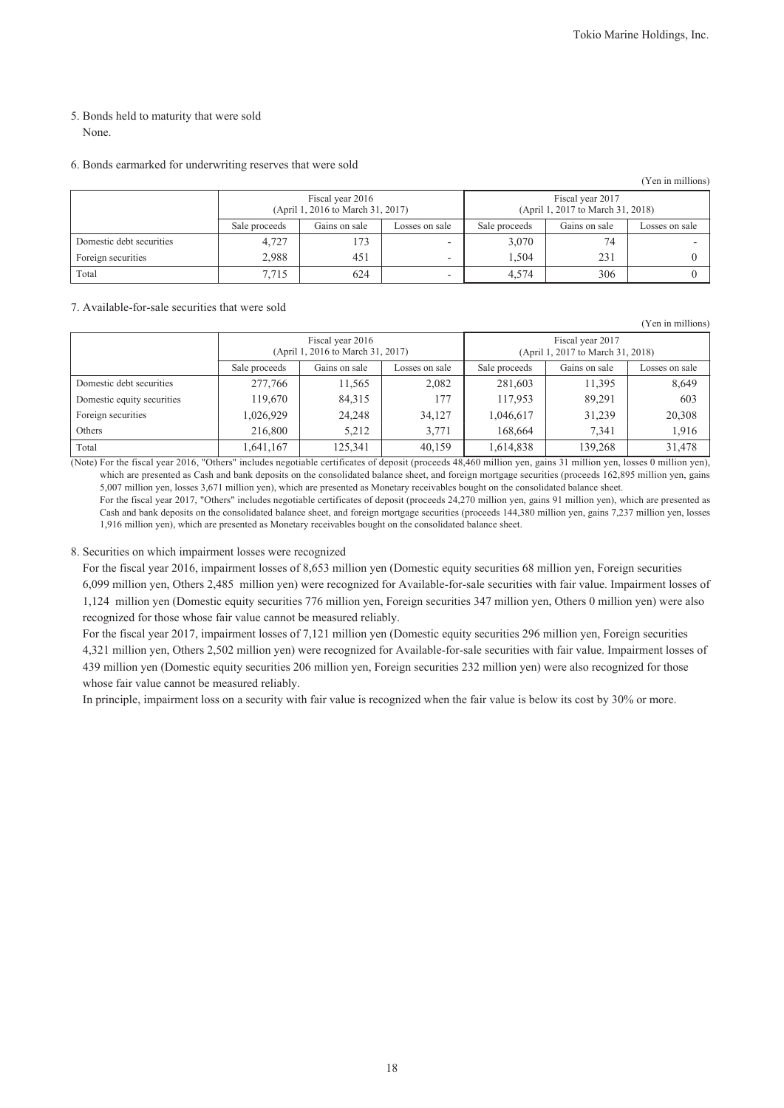(Yen in millions)

#### 5. Bonds held to maturity that were sold None.

#### 6. Bonds earmarked for underwriting reserves that were sold

|                          |                                                                                    |                                   |                          |                                                       |     | (Yen in millions) |
|--------------------------|------------------------------------------------------------------------------------|-----------------------------------|--------------------------|-------------------------------------------------------|-----|-------------------|
|                          |                                                                                    | (April 1, 2016 to March 31, 2017) |                          | Fiscal year 2017<br>(April 1, 2017 to March 31, 2018) |     |                   |
|                          | Sale proceeds<br>Gains on sale<br>Gains on sale<br>Sale proceeds<br>Losses on sale |                                   |                          |                                                       |     | Losses on sale    |
| Domestic debt securities | 4,727                                                                              | 173                               | ۰                        | 3,070                                                 | 74  |                   |
| Foreign securities       | 2,988                                                                              | 451                               | $\overline{\phantom{a}}$ | 1.504                                                 | 231 |                   |
| Total                    | 7.715                                                                              | 624                               | -                        | 4,574                                                 | 306 |                   |

#### 7. Available-for-sale securities that were sold

|                            | Fiscal year 2016<br>(April 1, 2016 to March 31, 2017)<br>Gains on sale<br>Sale proceeds<br>Losses on sale |         |        | Fiscal year 2017<br>(April 1, 2017 to March 31, 2018) |               |                |  |
|----------------------------|-----------------------------------------------------------------------------------------------------------|---------|--------|-------------------------------------------------------|---------------|----------------|--|
|                            |                                                                                                           |         |        | Sale proceeds                                         | Gains on sale | Losses on sale |  |
| Domestic debt securities   | 277,766                                                                                                   | 11,565  | 2,082  | 281,603                                               | 11,395        | 8,649          |  |
| Domestic equity securities | 119,670                                                                                                   | 84,315  | 177    | 117,953                                               | 89,291        | 603            |  |
| Foreign securities         | 1,026,929                                                                                                 | 24,248  | 34,127 | 1,046,617                                             | 31,239        | 20,308         |  |
| Others                     | 216,800                                                                                                   | 5.212   | 3,771  | 168,664                                               | 7,341         | 1,916          |  |
| Total                      | .641,167                                                                                                  | 125.341 | 40,159 | 1,614,838                                             | 139.268       | 31,478         |  |

(Note) For the fiscal year 2016, "Others" includes negotiable certificates of deposit (proceeds 48,460 million yen, gains 31 million yen, losses 0 million yen), which are presented as Cash and bank deposits on the consolidated balance sheet, and foreign mortgage securities (proceeds 162,895 million yen, gains 5,007 million yen, losses 3,671 million yen), which are presented as Monetary receivables bought on the consolidated balance sheet.

For the fiscal year 2017, "Others" includes negotiable certificates of deposit (proceeds 24,270 million yen, gains 91 million yen), which are presented as Cash and bank deposits on the consolidated balance sheet, and foreign mortgage securities (proceeds 144,380 million yen, gains 7,237 million yen, losses 1,916 million yen), which are presented as Monetary receivables bought on the consolidated balance sheet.

#### 8. Securities on which impairment losses were recognized

For the fiscal year 2016, impairment losses of 8,653 million yen (Domestic equity securities 68 million yen, Foreign securities 6,099 million yen, Others 2,485 million yen) were recognized for Available-for-sale securities with fair value. Impairment losses of 1,124 million yen (Domestic equity securities 776 million yen, Foreign securities 347 million yen, Others 0 million yen) were also recognized for those whose fair value cannot be measured reliably.

For the fiscal year 2017, impairment losses of 7,121 million yen (Domestic equity securities 296 million yen, Foreign securities 4,321 million yen, Others 2,502 million yen) were recognized for Available-for-sale securities with fair value. Impairment losses of 439 million yen (Domestic equity securities 206 million yen, Foreign securities 232 million yen) were also recognized for those whose fair value cannot be measured reliably.

In principle, impairment loss on a security with fair value is recognized when the fair value is below its cost by 30% or more.